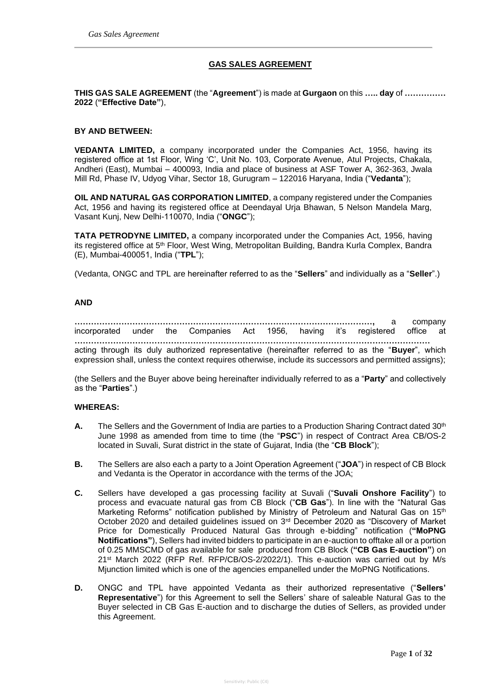### **GAS SALES AGREEMENT**

**THIS GAS SALE AGREEMENT** (the "**Agreement**") is made at **Gurgaon** on this **….. day** of **…………… 2022** (**"Effective Date"**),

#### **BY AND BETWEEN:**

**VEDANTA LIMITED,** a company incorporated under the Companies Act, 1956, having its registered office at 1st Floor, Wing 'C', Unit No. 103, Corporate Avenue, Atul Projects, Chakala, Andheri (East), Mumbai – 400093, India and place of business at ASF Tower A, 362-363, Jwala Mill Rd, Phase IV, Udyog Vihar, Sector 18, Gurugram – 122016 Haryana, India ("**Vedanta**");

**OIL AND NATURAL GAS CORPORATION LIMITED**, a company registered under the Companies Act, 1956 and having its registered office at Deendayal Urja Bhawan, 5 Nelson Mandela Marg, Vasant Kunj, New Delhi-110070, India ("**ONGC**");

**TATA PETRODYNE LIMITED,** a company incorporated under the Companies Act, 1956, having its registered office at 5<sup>th</sup> Floor, West Wing, Metropolitan Building, Bandra Kurla Complex, Bandra (E), Mumbai-400051, India ("**TPL**");

(Vedanta, ONGC and TPL are hereinafter referred to as the "**Sellers**" and individually as a "**Seller**".)

#### **AND**

|                                                                   |  |  |  |  |  | company |  |        |      |
|-------------------------------------------------------------------|--|--|--|--|--|---------|--|--------|------|
| incorporated under the Companies Act 1956, having it's registered |  |  |  |  |  |         |  | office | at - |
|                                                                   |  |  |  |  |  |         |  |        |      |

acting through its duly authorized representative (hereinafter referred to as the "**Buyer**", which expression shall, unless the context requires otherwise, include its successors and permitted assigns);

(the Sellers and the Buyer above being hereinafter individually referred to as a "**Party**" and collectively as the "**Parties**".)

#### **WHEREAS:**

- A. The Sellers and the Government of India are parties to a Production Sharing Contract dated 30<sup>th</sup> June 1998 as amended from time to time (the "**PSC**") in respect of Contract Area CB/OS-2 located in Suvali, Surat district in the state of Gujarat, India (the "**CB Block**");
- **B.** The Sellers are also each a party to a Joint Operation Agreement ("**JOA**") in respect of CB Block and Vedanta is the Operator in accordance with the terms of the JOA;
- **C.** Sellers have developed a gas processing facility at Suvali ("**Suvali Onshore Facility**") to process and evacuate natural gas from CB Block ("**CB Gas**"). In line with the "Natural Gas Marketing Reforms" notification published by Ministry of Petroleum and Natural Gas on 15<sup>th</sup> October 2020 and detailed guidelines issued on 3rd December 2020 as "Discovery of Market Price for Domestically Produced Natural Gas through e-bidding" notification (**"MoPNG Notifications"**), Sellers had invited bidders to participate in an e-auction to offtake all or a portion of 0.25 MMSCMD of gas available for sale produced from CB Block (**"CB Gas E-auction"**) on 21st March 2022 (RFP Ref. RFP/CB/OS-2/2022/1). This e-auction was carried out by M/s Mjunction limited which is one of the agencies empanelled under the MoPNG Notifications.
- **D.** ONGC and TPL have appointed Vedanta as their authorized representative ("**Sellers' Representative**") for this Agreement to sell the Sellers' share of saleable Natural Gas to the Buyer selected in CB Gas E-auction and to discharge the duties of Sellers, as provided under this Agreement.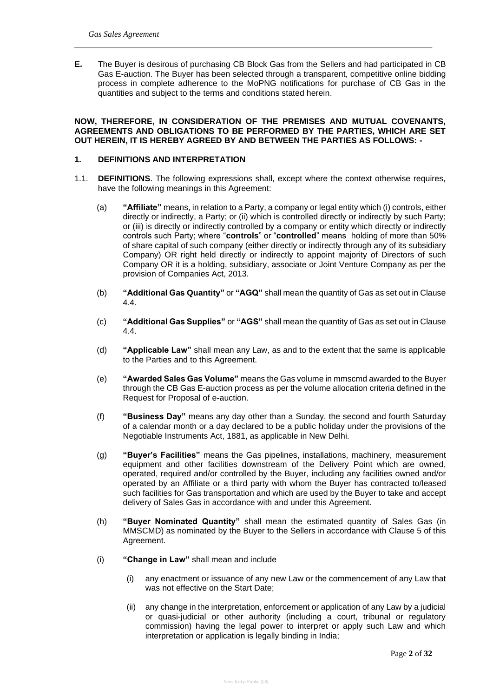**E.** The Buyer is desirous of purchasing CB Block Gas from the Sellers and had participated in CB Gas E-auction. The Buyer has been selected through a transparent, competitive online bidding process in complete adherence to the MoPNG notifications for purchase of CB Gas in the quantities and subject to the terms and conditions stated herein.

#### **NOW, THEREFORE, IN CONSIDERATION OF THE PREMISES AND MUTUAL COVENANTS, AGREEMENTS AND OBLIGATIONS TO BE PERFORMED BY THE PARTIES, WHICH ARE SET OUT HEREIN, IT IS HEREBY AGREED BY AND BETWEEN THE PARTIES AS FOLLOWS: -**

#### **1. DEFINITIONS AND INTERPRETATION**

- 1.1. **DEFINITIONS**. The following expressions shall, except where the context otherwise requires, have the following meanings in this Agreement:
	- (a) **"Affiliate"** means, in relation to a Party, a company or legal entity which (i) controls, either directly or indirectly, a Party; or (ii) which is controlled directly or indirectly by such Party; or (iii) is directly or indirectly controlled by a company or entity which directly or indirectly controls such Party; where "**controls**" or "**controlled**" means holding of more than 50% of share capital of such company (either directly or indirectly through any of its subsidiary Company) OR right held directly or indirectly to appoint majority of Directors of such Company OR it is a holding, subsidiary, associate or Joint Venture Company as per the provision of Companies Act, 2013.
	- (b) **"Additional Gas Quantity"** or **"AGQ"** shall mean the quantity of Gas as set out in Clause 4.4.
	- (c) **"Additional Gas Supplies"** or **"AGS"** shall mean the quantity of Gas as set out in Clause 4.4.
	- (d) **"Applicable Law"** shall mean any Law, as and to the extent that the same is applicable to the Parties and to this Agreement.
	- (e) **"Awarded Sales Gas Volume"** means the Gas volume in mmscmd awarded to the Buyer through the CB Gas E-auction process as per the volume allocation criteria defined in the Request for Proposal of e-auction.
	- (f) **"Business Day"** means any day other than a Sunday, the second and fourth Saturday of a calendar month or a day declared to be a public holiday under the provisions of the Negotiable Instruments Act, 1881, as applicable in New Delhi.
	- (g) **"Buyer's Facilities"** means the Gas pipelines, installations, machinery, measurement equipment and other facilities downstream of the Delivery Point which are owned, operated, required and/or controlled by the Buyer, including any facilities owned and/or operated by an Affiliate or a third party with whom the Buyer has contracted to/leased such facilities for Gas transportation and which are used by the Buyer to take and accept delivery of Sales Gas in accordance with and under this Agreement.
	- (h) **"Buyer Nominated Quantity"** shall mean the estimated quantity of Sales Gas (in MMSCMD) as nominated by the Buyer to the Sellers in accordance with Clause 5 of this Agreement.
	- (i) **"Change in Law"** shall mean and include
		- (i) any enactment or issuance of any new Law or the commencement of any Law that was not effective on the Start Date;
		- (ii) any change in the interpretation, enforcement or application of any Law by a judicial or quasi-judicial or other authority (including a court, tribunal or regulatory commission) having the legal power to interpret or apply such Law and which interpretation or application is legally binding in India;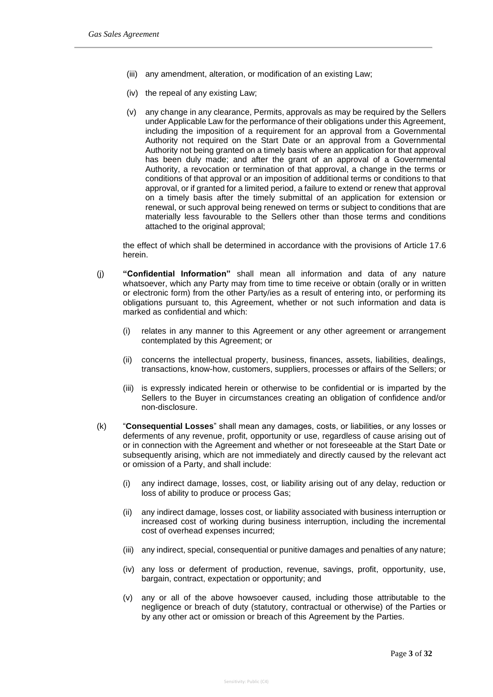- (iii) any amendment, alteration, or modification of an existing Law;
- (iv) the repeal of any existing Law;
- (v) any change in any clearance, Permits, approvals as may be required by the Sellers under Applicable Law for the performance of their obligations under this Agreement, including the imposition of a requirement for an approval from a Governmental Authority not required on the Start Date or an approval from a Governmental Authority not being granted on a timely basis where an application for that approval has been duly made; and after the grant of an approval of a Governmental Authority, a revocation or termination of that approval, a change in the terms or conditions of that approval or an imposition of additional terms or conditions to that approval, or if granted for a limited period, a failure to extend or renew that approval on a timely basis after the timely submittal of an application for extension or renewal, or such approval being renewed on terms or subject to conditions that are materially less favourable to the Sellers other than those terms and conditions attached to the original approval;

the effect of which shall be determined in accordance with the provisions of Article 17.6 herein.

- (j) **"Confidential Information"** shall mean all information and data of any nature whatsoever, which any Party may from time to time receive or obtain (orally or in written or electronic form) from the other Party/ies as a result of entering into, or performing its obligations pursuant to, this Agreement, whether or not such information and data is marked as confidential and which:
	- (i) relates in any manner to this Agreement or any other agreement or arrangement contemplated by this Agreement; or
	- (ii) concerns the intellectual property, business, finances, assets, liabilities, dealings, transactions, know-how, customers, suppliers, processes or affairs of the Sellers; or
	- (iii) is expressly indicated herein or otherwise to be confidential or is imparted by the Sellers to the Buyer in circumstances creating an obligation of confidence and/or non-disclosure.
- (k) "**Consequential Losses**" shall mean any damages, costs, or liabilities, or any losses or deferments of any revenue, profit, opportunity or use, regardless of cause arising out of or in connection with the Agreement and whether or not foreseeable at the Start Date or subsequently arising, which are not immediately and directly caused by the relevant act or omission of a Party, and shall include:
	- (i) any indirect damage, losses, cost, or liability arising out of any delay, reduction or loss of ability to produce or process Gas;
	- (ii) any indirect damage, losses cost, or liability associated with business interruption or increased cost of working during business interruption, including the incremental cost of overhead expenses incurred;
	- (iii) any indirect, special, consequential or punitive damages and penalties of any nature;
	- (iv) any loss or deferment of production, revenue, savings, profit, opportunity, use, bargain, contract, expectation or opportunity; and
	- (v) any or all of the above howsoever caused, including those attributable to the negligence or breach of duty (statutory, contractual or otherwise) of the Parties or by any other act or omission or breach of this Agreement by the Parties.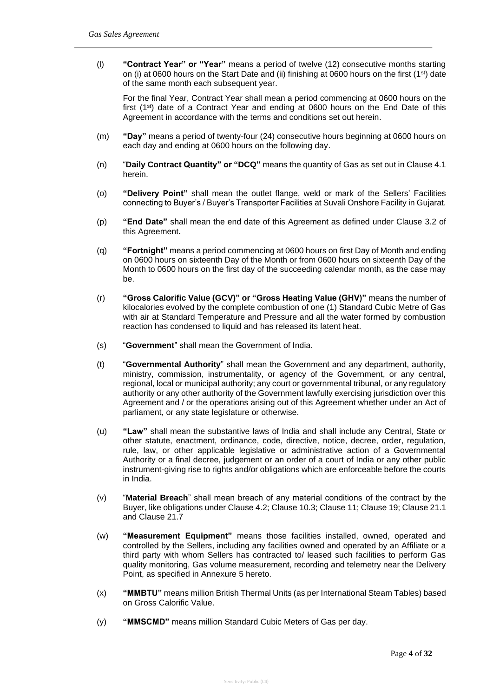(l) **"Contract Year" or "Year"** means a period of twelve (12) consecutive months starting on (i) at 0600 hours on the Start Date and (ii) finishing at 0600 hours on the first (1<sup>st</sup>) date of the same month each subsequent year.

For the final Year, Contract Year shall mean a period commencing at 0600 hours on the first  $(1<sup>st</sup>)$  date of a Contract Year and ending at 0600 hours on the End Date of this Agreement in accordance with the terms and conditions set out herein.

- (m) **"Day"** means a period of twenty-four (24) consecutive hours beginning at 0600 hours on each day and ending at 0600 hours on the following day.
- (n) "**Daily Contract Quantity" or "DCQ"** means the quantity of Gas as set out in Clause 4.1 herein.
- (o) **"Delivery Point"** shall mean the outlet flange, weld or mark of the Sellers' Facilities connecting to Buyer's / Buyer's Transporter Facilities at Suvali Onshore Facility in Gujarat.
- (p) **"End Date"** shall mean the end date of this Agreement as defined under Clause 3.2 of this Agreement**.**
- (q) **"Fortnight"** means a period commencing at 0600 hours on first Day of Month and ending on 0600 hours on sixteenth Day of the Month or from 0600 hours on sixteenth Day of the Month to 0600 hours on the first day of the succeeding calendar month, as the case may be.
- (r) **"Gross Calorific Value (GCV)" or "Gross Heating Value (GHV)"** means the number of kilocalories evolved by the complete combustion of one (1) Standard Cubic Metre of Gas with air at Standard Temperature and Pressure and all the water formed by combustion reaction has condensed to liquid and has released its latent heat.
- (s) "**Government**" shall mean the Government of India.
- (t) "**Governmental Authority**" shall mean the Government and any department, authority, ministry, commission, instrumentality, or agency of the Government, or any central, regional, local or municipal authority; any court or governmental tribunal, or any regulatory authority or any other authority of the Government lawfully exercising jurisdiction over this Agreement and / or the operations arising out of this Agreement whether under an Act of parliament, or any state legislature or otherwise.
- (u) **"Law"** shall mean the substantive laws of India and shall include any Central, State or other statute, enactment, ordinance, code, directive, notice, decree, order, regulation, rule, law, or other applicable legislative or administrative action of a Governmental Authority or a final decree, judgement or an order of a court of India or any other public instrument-giving rise to rights and/or obligations which are enforceable before the courts in India.
- (v) "**Material Breach**" shall mean breach of any material conditions of the contract by the Buyer, like obligations under Clause 4.2; Clause 10.3; Clause 11; Clause 19; Clause 21.1 and Clause 21.7
- (w) **"Measurement Equipment"** means those facilities installed, owned, operated and controlled by the Sellers, including any facilities owned and operated by an Affiliate or a third party with whom Sellers has contracted to/ leased such facilities to perform Gas quality monitoring, Gas volume measurement, recording and telemetry near the Delivery Point, as specified in Annexure 5 hereto.
- (x) **"MMBTU"** means million British Thermal Units (as per International Steam Tables) based on Gross Calorific Value.
- (y) **"MMSCMD"** means million Standard Cubic Meters of Gas per day.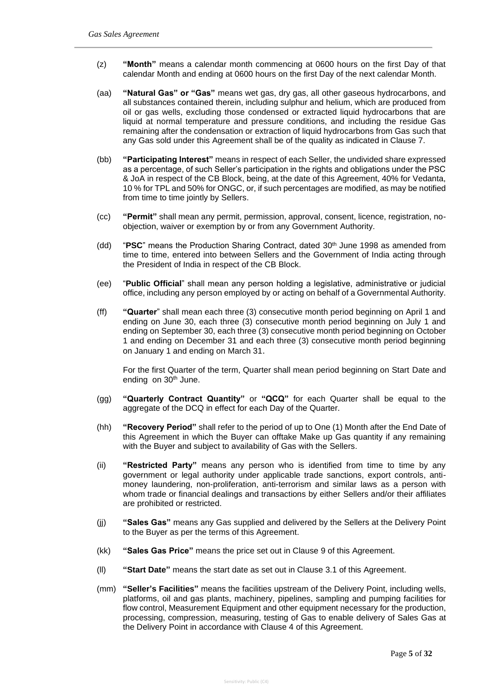- (z) **"Month"** means a calendar month commencing at 0600 hours on the first Day of that calendar Month and ending at 0600 hours on the first Day of the next calendar Month.
- (aa) **"Natural Gas" or "Gas"** means wet gas, dry gas, all other gaseous hydrocarbons, and all substances contained therein, including sulphur and helium, which are produced from oil or gas wells, excluding those condensed or extracted liquid hydrocarbons that are liquid at normal temperature and pressure conditions, and including the residue Gas remaining after the condensation or extraction of liquid hydrocarbons from Gas such that any Gas sold under this Agreement shall be of the quality as indicated in Clause 7.
- (bb) **"Participating Interest"** means in respect of each Seller, the undivided share expressed as a percentage, of such Seller's participation in the rights and obligations under the PSC & JoA in respect of the CB Block, being, at the date of this Agreement, 40% for Vedanta, 10 % for TPL and 50% for ONGC, or, if such percentages are modified, as may be notified from time to time jointly by Sellers.
- (cc) **"Permit"** shall mean any permit, permission, approval, consent, licence, registration, noobjection, waiver or exemption by or from any Government Authority.
- (dd) "**PSC**" means the Production Sharing Contract, dated 30th June 1998 as amended from time to time, entered into between Sellers and the Government of India acting through the President of India in respect of the CB Block.
- (ee) "**Public Official**" shall mean any person holding a legislative, administrative or judicial office, including any person employed by or acting on behalf of a Governmental Authority.
- (ff) **"Quarter**" shall mean each three (3) consecutive month period beginning on April 1 and ending on June 30, each three (3) consecutive month period beginning on July 1 and ending on September 30, each three (3) consecutive month period beginning on October 1 and ending on December 31 and each three (3) consecutive month period beginning on January 1 and ending on March 31.

For the first Quarter of the term, Quarter shall mean period beginning on Start Date and ending on 30<sup>th</sup> June.

- (gg) **"Quarterly Contract Quantity"** or **"QCQ"** for each Quarter shall be equal to the aggregate of the DCQ in effect for each Day of the Quarter.
- (hh) **"Recovery Period"** shall refer to the period of up to One (1) Month after the End Date of this Agreement in which the Buyer can offtake Make up Gas quantity if any remaining with the Buyer and subject to availability of Gas with the Sellers.
- (ii) **"Restricted Party"** means any person who is identified from time to time by any government or legal authority under applicable trade sanctions, export controls, antimoney laundering, non-proliferation, anti-terrorism and similar laws as a person with whom trade or financial dealings and transactions by either Sellers and/or their affiliates are prohibited or restricted.
- (jj) **"Sales Gas"** means any Gas supplied and delivered by the Sellers at the Delivery Point to the Buyer as per the terms of this Agreement.
- (kk) **"Sales Gas Price"** means the price set out in Clause 9 of this Agreement.
- (ll) **"Start Date"** means the start date as set out in Clause 3.1 of this Agreement.
- (mm) **"Seller's Facilities"** means the facilities upstream of the Delivery Point, including wells, platforms, oil and gas plants, machinery, pipelines, sampling and pumping facilities for flow control, Measurement Equipment and other equipment necessary for the production, processing, compression, measuring, testing of Gas to enable delivery of Sales Gas at the Delivery Point in accordance with Clause 4 of this Agreement.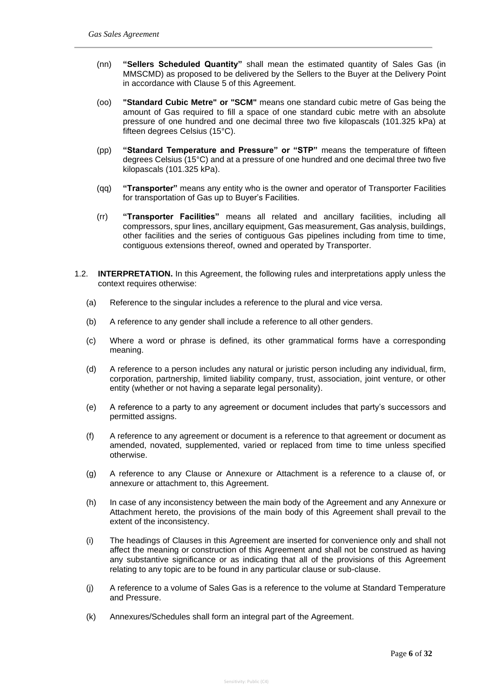- (nn) **"Sellers Scheduled Quantity"** shall mean the estimated quantity of Sales Gas (in MMSCMD) as proposed to be delivered by the Sellers to the Buyer at the Delivery Point in accordance with Clause 5 of this Agreement.
- (oo) **"Standard Cubic Metre" or "SCM"** means one standard cubic metre of Gas being the amount of Gas required to fill a space of one standard cubic metre with an absolute pressure of one hundred and one decimal three two five kilopascals (101.325 kPa) at fifteen degrees Celsius (15°C).
- (pp) **"Standard Temperature and Pressure" or "STP"** means the temperature of fifteen degrees Celsius (15°C) and at a pressure of one hundred and one decimal three two five kilopascals (101.325 kPa).
- (qq) **"Transporter"** means any entity who is the owner and operator of Transporter Facilities for transportation of Gas up to Buyer's Facilities.
- (rr) **"Transporter Facilities"** means all related and ancillary facilities, including all compressors, spur lines, ancillary equipment, Gas measurement, Gas analysis, buildings, other facilities and the series of contiguous Gas pipelines including from time to time, contiguous extensions thereof, owned and operated by Transporter.
- 1.2. **INTERPRETATION.** In this Agreement, the following rules and interpretations apply unless the context requires otherwise:
	- (a) Reference to the singular includes a reference to the plural and vice versa.
	- (b) A reference to any gender shall include a reference to all other genders.
	- (c) Where a word or phrase is defined, its other grammatical forms have a corresponding meaning.
	- (d) A reference to a person includes any natural or juristic person including any individual, firm, corporation, partnership, limited liability company, trust, association, joint venture, or other entity (whether or not having a separate legal personality).
	- (e) A reference to a party to any agreement or document includes that party's successors and permitted assigns.
	- (f) A reference to any agreement or document is a reference to that agreement or document as amended, novated, supplemented, varied or replaced from time to time unless specified otherwise.
	- (g) A reference to any Clause or Annexure or Attachment is a reference to a clause of, or annexure or attachment to, this Agreement.
	- (h) In case of any inconsistency between the main body of the Agreement and any Annexure or Attachment hereto, the provisions of the main body of this Agreement shall prevail to the extent of the inconsistency.
	- (i) The headings of Clauses in this Agreement are inserted for convenience only and shall not affect the meaning or construction of this Agreement and shall not be construed as having any substantive significance or as indicating that all of the provisions of this Agreement relating to any topic are to be found in any particular clause or sub-clause.
	- (j) A reference to a volume of Sales Gas is a reference to the volume at Standard Temperature and Pressure.
	- (k) Annexures/Schedules shall form an integral part of the Agreement.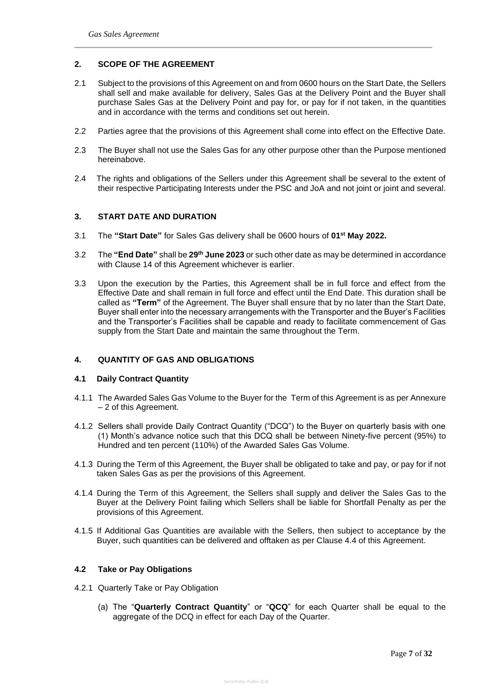### **2. SCOPE OF THE AGREEMENT**

- 2.1 Subject to the provisions of this Agreement on and from 0600 hours on the Start Date, the Sellers shall sell and make available for delivery, Sales Gas at the Delivery Point and the Buyer shall purchase Sales Gas at the Delivery Point and pay for, or pay for if not taken, in the quantities and in accordance with the terms and conditions set out herein.
- 2.2 Parties agree that the provisions of this Agreement shall come into effect on the Effective Date.
- 2.3 The Buyer shall not use the Sales Gas for any other purpose other than the Purpose mentioned hereinabove.
- 2.4 The rights and obligations of the Sellers under this Agreement shall be several to the extent of their respective Participating Interests under the PSC and JoA and not joint or joint and several.

### **3. START DATE AND DURATION**

- 3.1 The **"Start Date"** for Sales Gas delivery shall be 0600 hours of **01st May 2022.**
- 3.2 The **"End Date"** shall be **29th June 2023** or such other date as may be determined in accordance with Clause 14 of this Agreement whichever is earlier.
- 3.3 Upon the execution by the Parties, this Agreement shall be in full force and effect from the Effective Date and shall remain in full force and effect until the End Date. This duration shall be called as **"Term"** of the Agreement. The Buyer shall ensure that by no later than the Start Date, Buyer shall enter into the necessary arrangements with the Transporter and the Buyer's Facilities and the Transporter's Facilities shall be capable and ready to facilitate commencement of Gas supply from the Start Date and maintain the same throughout the Term.

## **4. QUANTITY OF GAS AND OBLIGATIONS**

#### **4.1 Daily Contract Quantity**

- 4.1.1 The Awarded Sales Gas Volume to the Buyer for the Term of this Agreement is as per Annexure – 2 of this Agreement.
- 4.1.2 Sellers shall provide Daily Contract Quantity ("DCQ") to the Buyer on quarterly basis with one (1) Month's advance notice such that this DCQ shall be between Ninety-five percent (95%) to Hundred and ten percent (110%) of the Awarded Sales Gas Volume.
- 4.1.3 During the Term of this Agreement, the Buyer shall be obligated to take and pay, or pay for if not taken Sales Gas as per the provisions of this Agreement.
- 4.1.4 During the Term of this Agreement, the Sellers shall supply and deliver the Sales Gas to the Buyer at the Delivery Point failing which Sellers shall be liable for Shortfall Penalty as per the provisions of this Agreement.
- 4.1.5 If Additional Gas Quantities are available with the Sellers, then subject to acceptance by the Buyer, such quantities can be delivered and offtaken as per Clause 4.4 of this Agreement.

#### **4.2 Take or Pay Obligations**

- 4.2.1 Quarterly Take or Pay Obligation
	- (a) The "**Quarterly Contract Quantity**" or "**QCQ**" for each Quarter shall be equal to the aggregate of the DCQ in effect for each Day of the Quarter.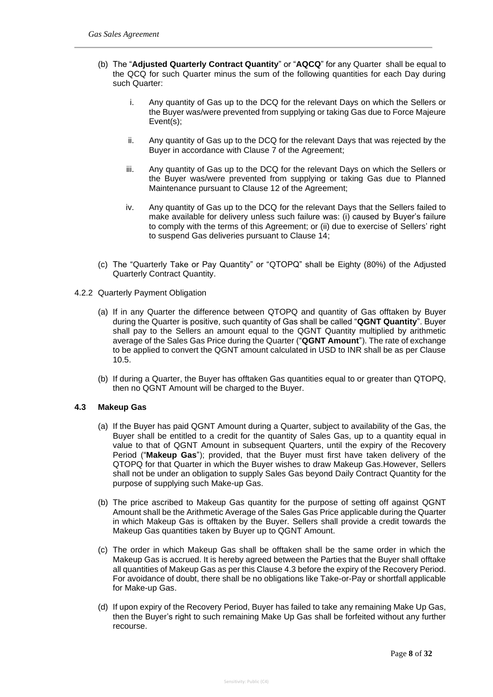- (b) The "**Adjusted Quarterly Contract Quantity**" or "**AQCQ**" for any Quarter shall be equal to the QCQ for such Quarter minus the sum of the following quantities for each Day during such Quarter:
	- i. Any quantity of Gas up to the DCQ for the relevant Days on which the Sellers or the Buyer was/were prevented from supplying or taking Gas due to Force Majeure Event(s);
	- ii. Any quantity of Gas up to the DCQ for the relevant Days that was rejected by the Buyer in accordance with Clause 7 of the Agreement;
	- iii. Any quantity of Gas up to the DCQ for the relevant Days on which the Sellers or the Buyer was/were prevented from supplying or taking Gas due to Planned Maintenance pursuant to Clause 12 of the Agreement;
	- iv. Any quantity of Gas up to the DCQ for the relevant Days that the Sellers failed to make available for delivery unless such failure was: (i) caused by Buyer's failure to comply with the terms of this Agreement; or (ii) due to exercise of Sellers' right to suspend Gas deliveries pursuant to Clause 14;
- (c) The "Quarterly Take or Pay Quantity" or "QTOPQ" shall be Eighty (80%) of the Adjusted Quarterly Contract Quantity.
- 4.2.2 Quarterly Payment Obligation
	- (a) If in any Quarter the difference between QTOPQ and quantity of Gas offtaken by Buyer during the Quarter is positive, such quantity of Gas shall be called "**QGNT Quantity**". Buyer shall pay to the Sellers an amount equal to the QGNT Quantity multiplied by arithmetic average of the Sales Gas Price during the Quarter ("**QGNT Amount**"). The rate of exchange to be applied to convert the QGNT amount calculated in USD to INR shall be as per Clause 10.5.
	- (b) If during a Quarter, the Buyer has offtaken Gas quantities equal to or greater than QTOPQ, then no QGNT Amount will be charged to the Buyer.

#### **4.3 Makeup Gas**

- (a) If the Buyer has paid QGNT Amount during a Quarter, subject to availability of the Gas, the Buyer shall be entitled to a credit for the quantity of Sales Gas, up to a quantity equal in value to that of QGNT Amount in subsequent Quarters, until the expiry of the Recovery Period ("**Makeup Gas**"); provided, that the Buyer must first have taken delivery of the QTOPQ for that Quarter in which the Buyer wishes to draw Makeup Gas.However, Sellers shall not be under an obligation to supply Sales Gas beyond Daily Contract Quantity for the purpose of supplying such Make-up Gas.
- (b) The price ascribed to Makeup Gas quantity for the purpose of setting off against QGNT Amount shall be the Arithmetic Average of the Sales Gas Price applicable during the Quarter in which Makeup Gas is offtaken by the Buyer. Sellers shall provide a credit towards the Makeup Gas quantities taken by Buyer up to QGNT Amount.
- (c) The order in which Makeup Gas shall be offtaken shall be the same order in which the Makeup Gas is accrued. It is hereby agreed between the Parties that the Buyer shall offtake all quantities of Makeup Gas as per this Clause 4.3 before the expiry of the Recovery Period. For avoidance of doubt, there shall be no obligations like Take-or-Pay or shortfall applicable for Make-up Gas.
- (d) If upon expiry of the Recovery Period, Buyer has failed to take any remaining Make Up Gas, then the Buyer's right to such remaining Make Up Gas shall be forfeited without any further recourse.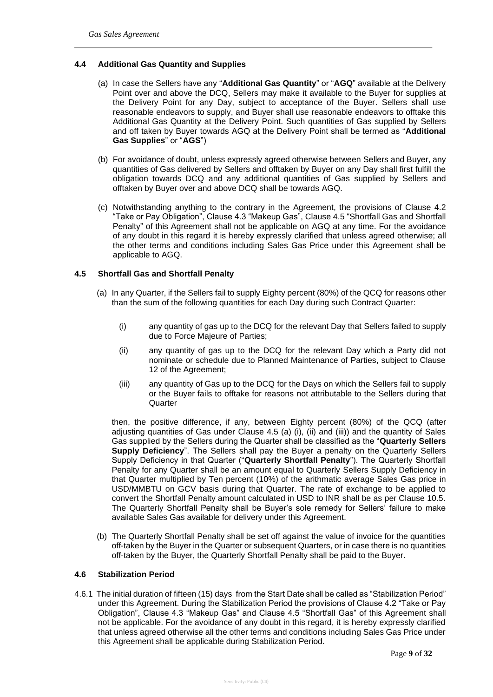### **4.4 Additional Gas Quantity and Supplies**

- (a) In case the Sellers have any "**Additional Gas Quantity**" or "**AGQ**" available at the Delivery Point over and above the DCQ, Sellers may make it available to the Buyer for supplies at the Delivery Point for any Day, subject to acceptance of the Buyer. Sellers shall use reasonable endeavors to supply, and Buyer shall use reasonable endeavors to offtake this Additional Gas Quantity at the Delivery Point. Such quantities of Gas supplied by Sellers and off taken by Buyer towards AGQ at the Delivery Point shall be termed as "**Additional Gas Supplies**" or "**AGS**")
- (b) For avoidance of doubt, unless expressly agreed otherwise between Sellers and Buyer, any quantities of Gas delivered by Sellers and offtaken by Buyer on any Day shall first fulfill the obligation towards DCQ and any additional quantities of Gas supplied by Sellers and offtaken by Buyer over and above DCQ shall be towards AGQ.
- (c) Notwithstanding anything to the contrary in the Agreement, the provisions of Clause 4.2 "Take or Pay Obligation", Clause 4.3 "Makeup Gas", Clause 4.5 "Shortfall Gas and Shortfall Penalty" of this Agreement shall not be applicable on AGQ at any time. For the avoidance of any doubt in this regard it is hereby expressly clarified that unless agreed otherwise; all the other terms and conditions including Sales Gas Price under this Agreement shall be applicable to AGQ.

### **4.5 Shortfall Gas and Shortfall Penalty**

- (a) In any Quarter, if the Sellers fail to supply Eighty percent (80%) of the QCQ for reasons other than the sum of the following quantities for each Day during such Contract Quarter:
	- (i) any quantity of gas up to the DCQ for the relevant Day that Sellers failed to supply due to Force Majeure of Parties;
	- (ii) any quantity of gas up to the DCQ for the relevant Day which a Party did not nominate or schedule due to Planned Maintenance of Parties, subject to Clause 12 of the Agreement;
	- (iii) any quantity of Gas up to the DCQ for the Days on which the Sellers fail to supply or the Buyer fails to offtake for reasons not attributable to the Sellers during that **Quarter**

then, the positive difference, if any, between Eighty percent (80%) of the QCQ (after adjusting quantities of Gas under Clause 4.5 (a) (i), (ii) and (iii)) and the quantity of Sales Gas supplied by the Sellers during the Quarter shall be classified as the "**Quarterly Sellers Supply Deficiency**". The Sellers shall pay the Buyer a penalty on the Quarterly Sellers Supply Deficiency in that Quarter ("**Quarterly Shortfall Penalty**"). The Quarterly Shortfall Penalty for any Quarter shall be an amount equal to Quarterly Sellers Supply Deficiency in that Quarter multiplied by Ten percent (10%) of the arithmatic average Sales Gas price in USD/MMBTU on GCV basis during that Quarter. The rate of exchange to be applied to convert the Shortfall Penalty amount calculated in USD to INR shall be as per Clause 10.5. The Quarterly Shortfall Penalty shall be Buyer's sole remedy for Sellers' failure to make available Sales Gas available for delivery under this Agreement.

(b) The Quarterly Shortfall Penalty shall be set off against the value of invoice for the quantities off-taken by the Buyer in the Quarter or subsequent Quarters, or in case there is no quantities off-taken by the Buyer, the Quarterly Shortfall Penalty shall be paid to the Buyer.

## **4.6 Stabilization Period**

4.6.1 The initial duration of fifteen (15) days from the Start Date shall be called as "Stabilization Period" under this Agreement. During the Stabilization Period the provisions of Clause 4.2 "Take or Pay Obligation", Clause 4.3 "Makeup Gas" and Clause 4.5 "Shortfall Gas" of this Agreement shall not be applicable. For the avoidance of any doubt in this regard, it is hereby expressly clarified that unless agreed otherwise all the other terms and conditions including Sales Gas Price under this Agreement shall be applicable during Stabilization Period.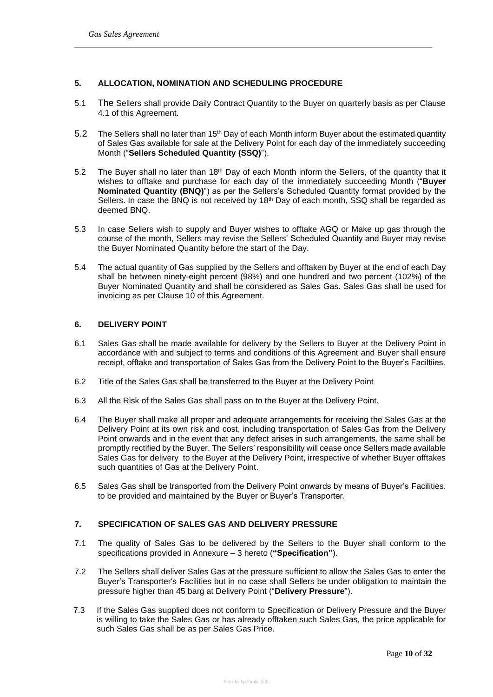## **5. ALLOCATION, NOMINATION AND SCHEDULING PROCEDURE**

- 5.1 The Sellers shall provide Daily Contract Quantity to the Buyer on quarterly basis as per Clause 4.1 of this Agreement.
- 5.2 The Sellers shall no later than 15<sup>th</sup> Day of each Month inform Buyer about the estimated quantity of Sales Gas available for sale at the Delivery Point for each day of the immediately succeeding Month ("**Sellers Scheduled Quantity (SSQ)**").
- 5.2 The Buyer shall no later than 18<sup>th</sup> Day of each Month inform the Sellers, of the quantity that it wishes to offtake and purchase for each day of the immediately succeeding Month ("**Buyer Nominated Quantity (BNQ)**") as per the Sellers's Scheduled Quantity format provided by the Sellers. In case the BNQ is not received by 18<sup>th</sup> Day of each month, SSQ shall be regarded as deemed BNQ.
- 5.3 In case Sellers wish to supply and Buyer wishes to offtake AGQ or Make up gas through the course of the month, Sellers may revise the Sellers' Scheduled Quantity and Buyer may revise the Buyer Nominated Quantity before the start of the Day.
- 5.4 The actual quantity of Gas supplied by the Sellers and offtaken by Buyer at the end of each Day shall be between ninety-eight percent (98%) and one hundred and two percent (102%) of the Buyer Nominated Quantity and shall be considered as Sales Gas. Sales Gas shall be used for invoicing as per Clause 10 of this Agreement.

## **6. DELIVERY POINT**

- 6.1 Sales Gas shall be made available for delivery by the Sellers to Buyer at the Delivery Point in accordance with and subject to terms and conditions of this Agreement and Buyer shall ensure receipt, offtake and transportation of Sales Gas from the Delivery Point to the Buyer's Faciltiies.
- 6.2 Title of the Sales Gas shall be transferred to the Buyer at the Delivery Point
- 6.3 All the Risk of the Sales Gas shall pass on to the Buyer at the Delivery Point.
- 6.4 The Buyer shall make all proper and adequate arrangements for receiving the Sales Gas at the Delivery Point at its own risk and cost, including transportation of Sales Gas from the Delivery Point onwards and in the event that any defect arises in such arrangements, the same shall be promptly rectified by the Buyer. The Sellers' responsibility will cease once Sellers made available Sales Gas for delivery to the Buyer at the Delivery Point, irrespective of whether Buyer offtakes such quantities of Gas at the Delivery Point.
- 6.5 Sales Gas shall be transported from the Delivery Point onwards by means of Buyer's Facilities, to be provided and maintained by the Buyer or Buyer's Transporter.

## **7. SPECIFICATION OF SALES GAS AND DELIVERY PRESSURE**

- 7.1 The quality of Sales Gas to be delivered by the Sellers to the Buyer shall conform to the specifications provided in Annexure – 3 hereto (**"Specification"**).
- 7.2 The Sellers shall deliver Sales Gas at the pressure sufficient to allow the Sales Gas to enter the Buyer's Transporter's Facilities but in no case shall Sellers be under obligation to maintain the pressure higher than 45 barg at Delivery Point ("**Delivery Pressure**").
- 7.3 If the Sales Gas supplied does not conform to Specification or Delivery Pressure and the Buyer is willing to take the Sales Gas or has already offtaken such Sales Gas, the price applicable for such Sales Gas shall be as per Sales Gas Price.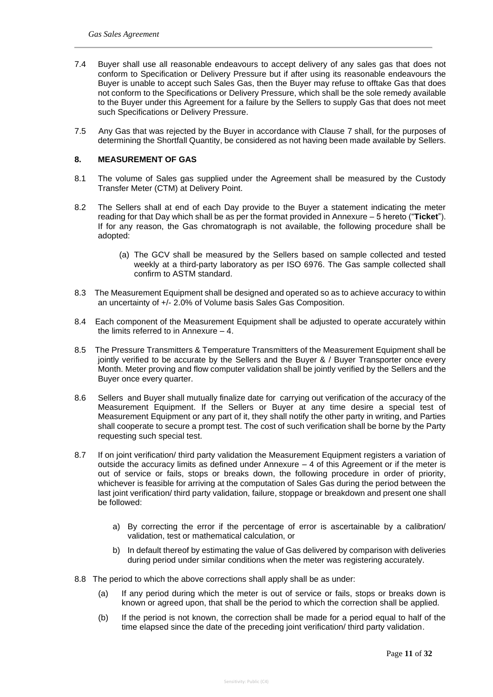- 7.4 Buyer shall use all reasonable endeavours to accept delivery of any sales gas that does not conform to Specification or Delivery Pressure but if after using its reasonable endeavours the Buyer is unable to accept such Sales Gas, then the Buyer may refuse to offtake Gas that does not conform to the Specifications or Delivery Pressure, which shall be the sole remedy available to the Buyer under this Agreement for a failure by the Sellers to supply Gas that does not meet such Specifications or Delivery Pressure.
- 7.5 Any Gas that was rejected by the Buyer in accordance with Clause 7 shall, for the purposes of determining the Shortfall Quantity, be considered as not having been made available by Sellers.

#### **8. MEASUREMENT OF GAS**

- 8.1 The volume of Sales gas supplied under the Agreement shall be measured by the Custody Transfer Meter (CTM) at Delivery Point.
- 8.2 The Sellers shall at end of each Day provide to the Buyer a statement indicating the meter reading for that Day which shall be as per the format provided in Annexure – 5 hereto ("**Ticket**"). If for any reason, the Gas chromatograph is not available, the following procedure shall be adopted:
	- (a) The GCV shall be measured by the Sellers based on sample collected and tested weekly at a third-party laboratory as per ISO 6976. The Gas sample collected shall confirm to ASTM standard.
- 8.3 The Measurement Equipment shall be designed and operated so as to achieve accuracy to within an uncertainty of +/- 2.0% of Volume basis Sales Gas Composition.
- 8.4 Each component of the Measurement Equipment shall be adjusted to operate accurately within the limits referred to in Annexure – 4.
- 8.5 The Pressure Transmitters & Temperature Transmitters of the Measurement Equipment shall be jointly verified to be accurate by the Sellers and the Buyer & / Buyer Transporter once every Month. Meter proving and flow computer validation shall be jointly verified by the Sellers and the Buyer once every quarter.
- 8.6 Sellers and Buyer shall mutually finalize date for carrying out verification of the accuracy of the Measurement Equipment. If the Sellers or Buyer at any time desire a special test of Measurement Equipment or any part of it, they shall notify the other party in writing, and Parties shall cooperate to secure a prompt test. The cost of such verification shall be borne by the Party requesting such special test.
- 8.7 If on joint verification/ third party validation the Measurement Equipment registers a variation of outside the accuracy limits as defined under Annexure  $-4$  of this Agreement or if the meter is out of service or fails, stops or breaks down, the following procedure in order of priority, whichever is feasible for arriving at the computation of Sales Gas during the period between the last joint verification/ third party validation, failure, stoppage or breakdown and present one shall be followed:
	- a) By correcting the error if the percentage of error is ascertainable by a calibration/ validation, test or mathematical calculation, or
	- b) In default thereof by estimating the value of Gas delivered by comparison with deliveries during period under similar conditions when the meter was registering accurately.
- 8.8 The period to which the above corrections shall apply shall be as under:
	- (a) If any period during which the meter is out of service or fails, stops or breaks down is known or agreed upon, that shall be the period to which the correction shall be applied.
	- (b) If the period is not known, the correction shall be made for a period equal to half of the time elapsed since the date of the preceding joint verification/ third party validation.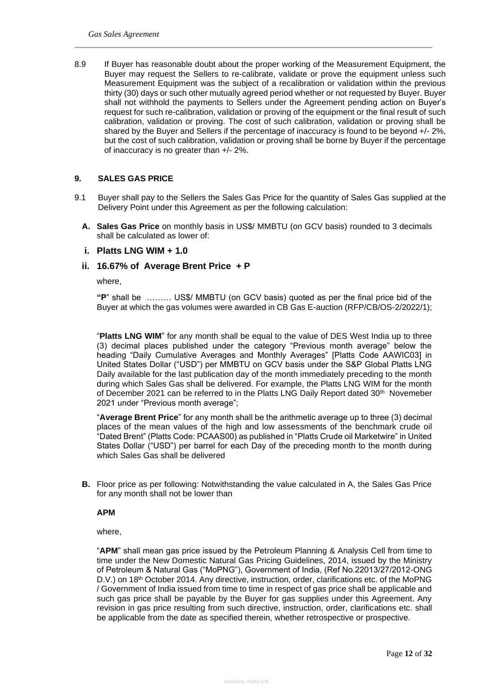8.9 If Buyer has reasonable doubt about the proper working of the Measurement Equipment, the Buyer may request the Sellers to re-calibrate, validate or prove the equipment unless such Measurement Equipment was the subject of a recalibration or validation within the previous thirty (30) days or such other mutually agreed period whether or not requested by Buyer. Buyer shall not withhold the payments to Sellers under the Agreement pending action on Buyer's request for such re-calibration, validation or proving of the equipment or the final result of such calibration, validation or proving. The cost of such calibration, validation or proving shall be shared by the Buyer and Sellers if the percentage of inaccuracy is found to be beyond +/- 2%, but the cost of such calibration, validation or proving shall be borne by Buyer if the percentage of inaccuracy is no greater than +/- 2%.

### **9. SALES GAS PRICE**

- 9.1 Buyer shall pay to the Sellers the Sales Gas Price for the quantity of Sales Gas supplied at the Delivery Point under this Agreement as per the following calculation:
	- **A. Sales Gas Price** on monthly basis in US\$/ MMBTU (on GCV basis) rounded to 3 decimals shall be calculated as lower of:
	- **i. Platts LNG WIM + 1.0**

### **ii. 16.67% of Average Brent Price + P**

where,

**"P**" shall be ……… US\$/ MMBTU (on GCV basis) quoted as per the final price bid of the Buyer at which the gas volumes were awarded in CB Gas E-auction (RFP/CB/OS-2/2022/1);

"**Platts LNG WIM**" for any month shall be equal to the value of DES West India up to three (3) decimal places published under the category "Previous month average" below the heading "Daily Cumulative Averages and Monthly Averages" [Platts Code AAWIC03] in United States Dollar ("USD") per MMBTU on GCV basis under the S&P Global Platts LNG Daily available for the last publication day of the month immediately preceding to the month during which Sales Gas shall be delivered. For example, the Platts LNG WIM for the month of December 2021 can be referred to in the Platts LNG Daily Report dated  $30<sup>th</sup>$  Novemeber 2021 under "Previous month average";

"**Average Brent Price**" for any month shall be the arithmetic average up to three (3) decimal places of the mean values of the high and low assessments of the benchmark crude oil "Dated Brent" (Platts Code: PCAAS00) as published in "Platts Crude oil Marketwire" in United States Dollar ("USD") per barrel for each Day of the preceding month to the month during which Sales Gas shall be delivered

**B.** Floor price as per following: Notwithstanding the value calculated in A, the Sales Gas Price for any month shall not be lower than

#### **APM**

where,

"**APM**" shall mean gas price issued by the Petroleum Planning & Analysis Cell from time to time under the New Domestic Natural Gas Pricing Guidelines, 2014, issued by the Ministry of Petroleum & Natural Gas ("MoPNG"), Government of India, (Ref No.22013/27/2012-ONG D.V.) on 18<sup>th</sup> October 2014. Any directive, instruction, order, clarifications etc. of the MoPNG / Government of India issued from time to time in respect of gas price shall be applicable and such gas price shall be payable by the Buyer for gas supplies under this Agreement. Any revision in gas price resulting from such directive, instruction, order, clarifications etc. shall be applicable from the date as specified therein, whether retrospective or prospective.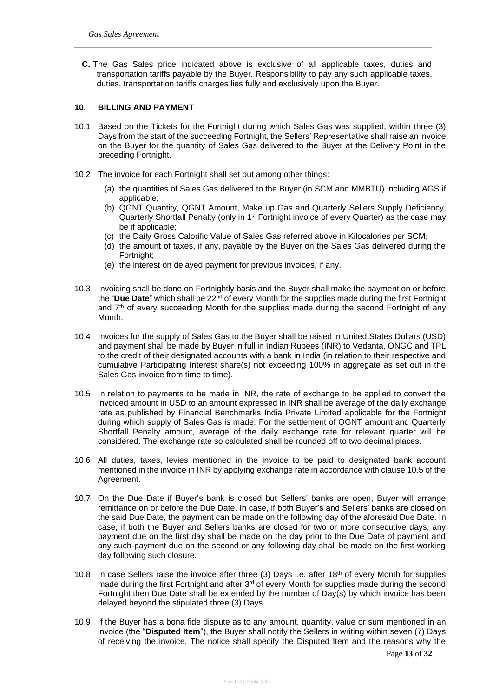**C.** The Gas Sales price indicated above is exclusive of all applicable taxes, duties and transportation tariffs payable by the Buyer. Responsibility to pay any such applicable taxes, duties, transportation tariffs charges lies fully and exclusively upon the Buyer.

## **10. BILLING AND PAYMENT**

- 10.1 Based on the Tickets for the Fortnight during which Sales Gas was supplied, within three (3) Days from the start of the succeeding Fortnight, the Sellers' Representative shall raise an invoice on the Buyer for the quantity of Sales Gas delivered to the Buyer at the Delivery Point in the preceding Fortnight.
- 10.2 The invoice for each Fortnight shall set out among other things:
	- (a) the quantities of Sales Gas delivered to the Buyer (in SCM and MMBTU) including AGS if applicable;
	- (b) QGNT Quantity, QGNT Amount, Make up Gas and Quarterly Sellers Supply Deficiency, Quarterly Shortfall Penalty (only in 1<sup>st</sup> Fortnight invoice of every Quarter) as the case may be if applicable;
	- (c) the Daily Gross Calorific Value of Sales Gas referred above in Kilocalories per SCM;
	- (d) the amount of taxes, if any, payable by the Buyer on the Sales Gas delivered during the Fortnight;
	- (e) the interest on delayed payment for previous invoices, if any.
- 10.3 Invoicing shall be done on Fortnightly basis and the Buyer shall make the payment on or before the "**Due Date**" which shall be 22nd of every Month for the supplies made during the first Fortnight and  $7<sup>th</sup>$  of every succeeding Month for the supplies made during the second Fortnight of any Month.
- 10.4 Invoices for the supply of Sales Gas to the Buyer shall be raised in United States Dollars (USD) and payment shall be made by Buyer in full in Indian Rupees (INR) to Vedanta, ONGC and TPL to the credit of their designated accounts with a bank in India (in relation to their respective and cumulative Participating Interest share(s) not exceeding 100% in aggregate as set out in the Sales Gas invoice from time to time).
- 10.5 In relation to payments to be made in INR, the rate of exchange to be applied to convert the invoiced amount in USD to an amount expressed in INR shall be average of the daily exchange rate as published by Financial Benchmarks India Private Limited applicable for the Fortnight during which supply of Sales Gas is made. For the settlement of QGNT amount and Quarterly Shortfall Penalty amount, average of the daily exchange rate for relevant quarter will be considered. The exchange rate so calculated shall be rounded off to two decimal places.
- 10.6 All duties, taxes, levies mentioned in the invoice to be paid to designated bank account mentioned in the invoice in INR by applying exchange rate in accordance with clause 10.5 of the Agreement.
- 10.7 On the Due Date if Buyer's bank is closed but Sellers' banks are open, Buyer will arrange remittance on or before the Due Date. In case, if both Buyer's and Sellers' banks are closed on the said Due Date, the payment can be made on the following day of the aforesaid Due Date. In case, if both the Buyer and Sellers banks are closed for two or more consecutive days, any payment due on the first day shall be made on the day prior to the Due Date of payment and any such payment due on the second or any following day shall be made on the first working day following such closure.
- 10.8 In case Sellers raise the invoice after three (3) Days i.e. after 18<sup>th</sup> of every Month for supplies made during the first Fortnight and after  $3<sup>rd</sup>$  of every Month for supplies made during the second Fortnight then Due Date shall be extended by the number of Day(s) by which invoice has been delayed beyond the stipulated three (3) Days.
- 10.9 If the Buyer has a bona fide dispute as to any amount, quantity, value or sum mentioned in an invoice (the "**Disputed Item**"), the Buyer shall notify the Sellers in writing within seven (7) Days of receiving the invoice. The notice shall specify the Disputed Item and the reasons why the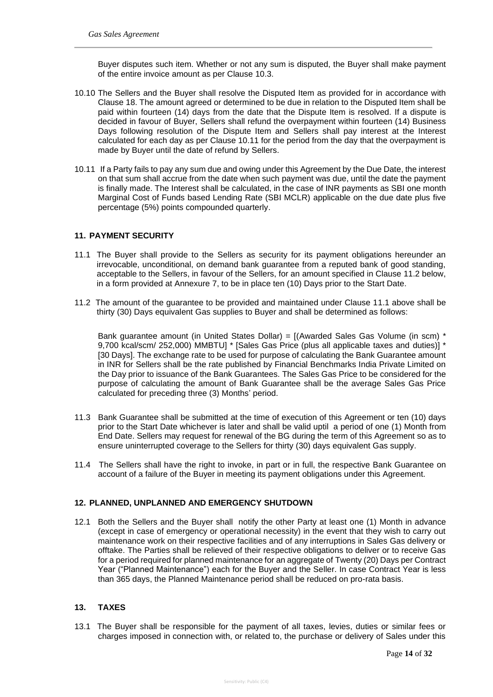Buyer disputes such item. Whether or not any sum is disputed, the Buyer shall make payment of the entire invoice amount as per Clause 10.3.

- 10.10 The Sellers and the Buyer shall resolve the Disputed Item as provided for in accordance with Clause 18. The amount agreed or determined to be due in relation to the Disputed Item shall be paid within fourteen (14) days from the date that the Dispute Item is resolved. If a dispute is decided in favour of Buyer, Sellers shall refund the overpayment within fourteen (14) Business Days following resolution of the Dispute Item and Sellers shall pay interest at the Interest calculated for each day as per Clause 10.11 for the period from the day that the overpayment is made by Buyer until the date of refund by Sellers.
- 10.11 If a Party fails to pay any sum due and owing under this Agreement by the Due Date, the interest on that sum shall accrue from the date when such payment was due, until the date the payment is finally made. The Interest shall be calculated, in the case of INR payments as SBI one month Marginal Cost of Funds based Lending Rate (SBI MCLR) applicable on the due date plus five percentage (5%) points compounded quarterly.

### **11. PAYMENT SECURITY**

- 11.1 The Buyer shall provide to the Sellers as security for its payment obligations hereunder an irrevocable, unconditional, on demand bank guarantee from a reputed bank of good standing, acceptable to the Sellers, in favour of the Sellers, for an amount specified in Clause 11.2 below, in a form provided at Annexure 7, to be in place ten (10) Days prior to the Start Date.
- 11.2 The amount of the guarantee to be provided and maintained under Clause 11.1 above shall be thirty (30) Days equivalent Gas supplies to Buyer and shall be determined as follows:

Bank guarantee amount (in United States Dollar) = [(Awarded Sales Gas Volume (in scm) \* 9,700 kcal/scm/ 252,000) MMBTU] \* [Sales Gas Price (plus all applicable taxes and duties)] \* [30 Days]. The exchange rate to be used for purpose of calculating the Bank Guarantee amount in INR for Sellers shall be the rate published by Financial Benchmarks India Private Limited on the Day prior to issuance of the Bank Guarantees. The Sales Gas Price to be considered for the purpose of calculating the amount of Bank Guarantee shall be the average Sales Gas Price calculated for preceding three (3) Months' period.

- 11.3 Bank Guarantee shall be submitted at the time of execution of this Agreement or ten (10) days prior to the Start Date whichever is later and shall be valid uptil a period of one (1) Month from End Date. Sellers may request for renewal of the BG during the term of this Agreement so as to ensure uninterrupted coverage to the Sellers for thirty (30) days equivalent Gas supply.
- 11.4 The Sellers shall have the right to invoke, in part or in full, the respective Bank Guarantee on account of a failure of the Buyer in meeting its payment obligations under this Agreement.

#### **12. PLANNED, UNPLANNED AND EMERGENCY SHUTDOWN**

12.1 Both the Sellers and the Buyer shall notify the other Party at least one (1) Month in advance (except in case of emergency or operational necessity) in the event that they wish to carry out maintenance work on their respective facilities and of any interruptions in Sales Gas delivery or offtake. The Parties shall be relieved of their respective obligations to deliver or to receive Gas for a period required for planned maintenance for an aggregate of Twenty (20) Days per Contract Year ("Planned Maintenance") each for the Buyer and the Seller. In case Contract Year is less than 365 days, the Planned Maintenance period shall be reduced on pro-rata basis.

#### **13. TAXES**

13.1 The Buyer shall be responsible for the payment of all taxes, levies, duties or similar fees or charges imposed in connection with, or related to, the purchase or delivery of Sales under this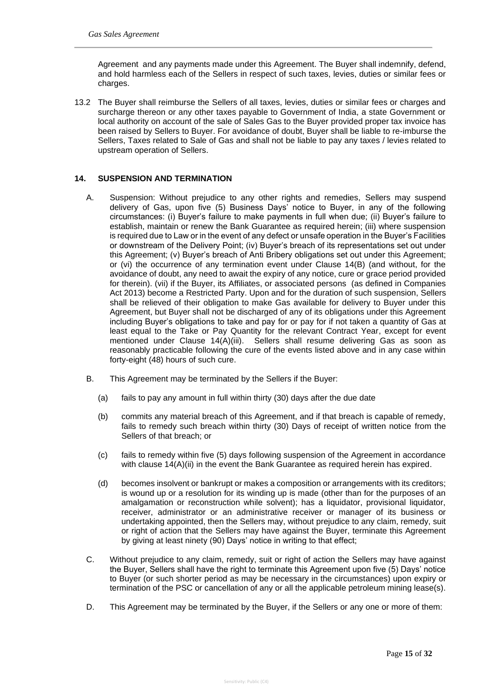Agreement and any payments made under this Agreement. The Buyer shall indemnify, defend, and hold harmless each of the Sellers in respect of such taxes, levies, duties or similar fees or charges.

13.2 The Buyer shall reimburse the Sellers of all taxes, levies, duties or similar fees or charges and surcharge thereon or any other taxes payable to Government of India, a state Government or local authority on account of the sale of Sales Gas to the Buyer provided proper tax invoice has been raised by Sellers to Buyer. For avoidance of doubt, Buyer shall be liable to re-imburse the Sellers, Taxes related to Sale of Gas and shall not be liable to pay any taxes / levies related to upstream operation of Sellers.

### **14. SUSPENSION AND TERMINATION**

- A. Suspension: Without prejudice to any other rights and remedies, Sellers may suspend delivery of Gas, upon five (5) Business Days' notice to Buyer, in any of the following circumstances: (i) Buyer's failure to make payments in full when due; (ii) Buyer's failure to establish, maintain or renew the Bank Guarantee as required herein; (iii) where suspension is required due to Law or in the event of any defect or unsafe operation in the Buyer's Facilities or downstream of the Delivery Point; (iv) Buyer's breach of its representations set out under this Agreement; (v) Buyer's breach of Anti Bribery obligations set out under this Agreement; or (vi) the occurrence of any termination event under Clause 14(B) (and without, for the avoidance of doubt, any need to await the expiry of any notice, cure or grace period provided for therein). (vii) if the Buyer, its Affiliates, or associated persons (as defined in Companies Act 2013) become a Restricted Party. Upon and for the duration of such suspension, Sellers shall be relieved of their obligation to make Gas available for delivery to Buyer under this Agreement, but Buyer shall not be discharged of any of its obligations under this Agreement including Buyer's obligations to take and pay for or pay for if not taken a quantity of Gas at least equal to the Take or Pay Quantity for the relevant Contract Year, except for event mentioned under Clause 14(A)(iii). Sellers shall resume delivering Gas as soon as reasonably practicable following the cure of the events listed above and in any case within forty-eight (48) hours of such cure.
- B. This Agreement may be terminated by the Sellers if the Buyer:
	- (a) fails to pay any amount in full within thirty (30) days after the due date
	- (b) commits any material breach of this Agreement, and if that breach is capable of remedy, fails to remedy such breach within thirty (30) Days of receipt of written notice from the Sellers of that breach; or
	- (c) fails to remedy within five (5) days following suspension of the Agreement in accordance with clause 14(A)(ii) in the event the Bank Guarantee as required herein has expired.
	- (d) becomes insolvent or bankrupt or makes a composition or arrangements with its creditors; is wound up or a resolution for its winding up is made (other than for the purposes of an amalgamation or reconstruction while solvent); has a liquidator, provisional liquidator, receiver, administrator or an administrative receiver or manager of its business or undertaking appointed, then the Sellers may, without prejudice to any claim, remedy, suit or right of action that the Sellers may have against the Buyer, terminate this Agreement by giving at least ninety (90) Days' notice in writing to that effect;
- C. Without prejudice to any claim, remedy, suit or right of action the Sellers may have against the Buyer, Sellers shall have the right to terminate this Agreement upon five (5) Days' notice to Buyer (or such shorter period as may be necessary in the circumstances) upon expiry or termination of the PSC or cancellation of any or all the applicable petroleum mining lease(s).
- D. This Agreement may be terminated by the Buyer, if the Sellers or any one or more of them: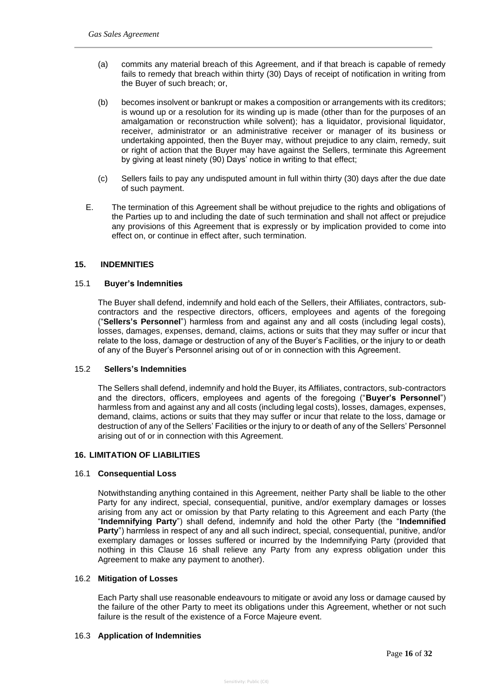- (a) commits any material breach of this Agreement, and if that breach is capable of remedy fails to remedy that breach within thirty (30) Days of receipt of notification in writing from the Buyer of such breach; or,
- (b) becomes insolvent or bankrupt or makes a composition or arrangements with its creditors; is wound up or a resolution for its winding up is made (other than for the purposes of an amalgamation or reconstruction while solvent); has a liquidator, provisional liquidator, receiver, administrator or an administrative receiver or manager of its business or undertaking appointed, then the Buyer may, without prejudice to any claim, remedy, suit or right of action that the Buyer may have against the Sellers, terminate this Agreement by giving at least ninety (90) Days' notice in writing to that effect;
- (c) Sellers fails to pay any undisputed amount in full within thirty (30) days after the due date of such payment.
- E. The termination of this Agreement shall be without prejudice to the rights and obligations of the Parties up to and including the date of such termination and shall not affect or prejudice any provisions of this Agreement that is expressly or by implication provided to come into effect on, or continue in effect after, such termination.

#### **15. INDEMNITIES**

#### 15.1 **Buyer's Indemnities**

The Buyer shall defend, indemnify and hold each of the Sellers, their Affiliates, contractors, subcontractors and the respective directors, officers, employees and agents of the foregoing ("**Sellers's Personnel**") harmless from and against any and all costs (including legal costs), losses, damages, expenses, demand, claims, actions or suits that they may suffer or incur that relate to the loss, damage or destruction of any of the Buyer's Facilities, or the injury to or death of any of the Buyer's Personnel arising out of or in connection with this Agreement.

#### 15.2 **Sellers's Indemnities**

The Sellers shall defend, indemnify and hold the Buyer, its Affiliates, contractors, sub-contractors and the directors, officers, employees and agents of the foregoing ("**Buyer's Personnel**") harmless from and against any and all costs (including legal costs), losses, damages, expenses, demand, claims, actions or suits that they may suffer or incur that relate to the loss, damage or destruction of any of the Sellers' Facilities or the injury to or death of any of the Sellers' Personnel arising out of or in connection with this Agreement.

#### **16. LIMITATION OF LIABILITIES**

#### 16.1 **Consequential Loss**

Notwithstanding anything contained in this Agreement, neither Party shall be liable to the other Party for any indirect, special, consequential, punitive, and/or exemplary damages or losses arising from any act or omission by that Party relating to this Agreement and each Party (the "**Indemnifying Party**") shall defend, indemnify and hold the other Party (the "**Indemnified Party**") harmless in respect of any and all such indirect, special, consequential, punitive, and/or exemplary damages or losses suffered or incurred by the Indemnifying Party (provided that nothing in this Clause 16 shall relieve any Party from any express obligation under this Agreement to make any payment to another).

#### 16.2 **Mitigation of Losses**

Each Party shall use reasonable endeavours to mitigate or avoid any loss or damage caused by the failure of the other Party to meet its obligations under this Agreement, whether or not such failure is the result of the existence of a Force Majeure event.

#### 16.3 **Application of Indemnities**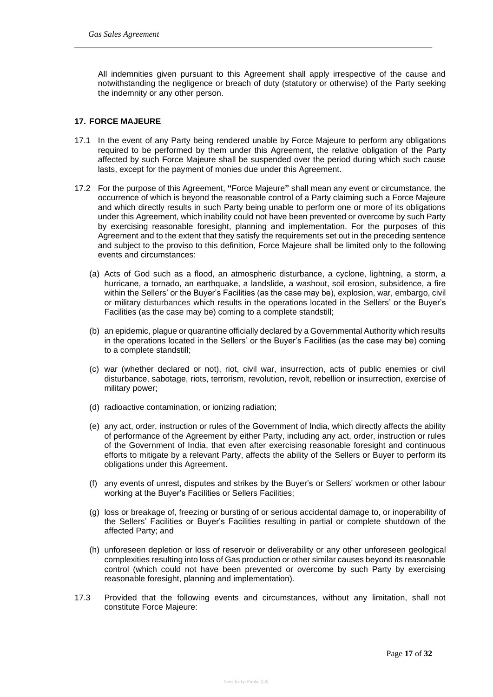All indemnities given pursuant to this Agreement shall apply irrespective of the cause and notwithstanding the negligence or breach of duty (statutory or otherwise) of the Party seeking the indemnity or any other person.

## **17. FORCE MAJEURE**

- 17.1 In the event of any Party being rendered unable by Force Majeure to perform any obligations required to be performed by them under this Agreement, the relative obligation of the Party affected by such Force Majeure shall be suspended over the period during which such cause lasts, except for the payment of monies due under this Agreement.
- 17.2 For the purpose of this Agreement, **"**Force Majeure**"** shall mean any event or circumstance, the occurrence of which is beyond the reasonable control of a Party claiming such a Force Majeure and which directly results in such Party being unable to perform one or more of its obligations under this Agreement, which inability could not have been prevented or overcome by such Party by exercising reasonable foresight, planning and implementation. For the purposes of this Agreement and to the extent that they satisfy the requirements set out in the preceding sentence and subject to the proviso to this definition, Force Majeure shall be limited only to the following events and circumstances:
	- (a) Acts of God such as a flood, an atmospheric disturbance, a cyclone, lightning, a storm, a hurricane, a tornado, an earthquake, a landslide, a washout, soil erosion, subsidence, a fire within the Sellers' or the Buyer's Facilities (as the case may be), explosion, war, embargo, civil or military disturbances which results in the operations located in the Sellers' or the Buyer's Facilities (as the case may be) coming to a complete standstill;
	- (b) an epidemic, plague or quarantine officially declared by a Governmental Authority which results in the operations located in the Sellers' or the Buyer's Facilities (as the case may be) coming to a complete standstill;
	- (c) war (whether declared or not), riot, civil war, insurrection, acts of public enemies or civil disturbance, sabotage, riots, terrorism, revolution, revolt, rebellion or insurrection, exercise of military power;
	- (d) radioactive contamination, or ionizing radiation;
	- (e) any act, order, instruction or rules of the Government of India, which directly affects the ability of performance of the Agreement by either Party, including any act, order, instruction or rules of the Government of India, that even after exercising reasonable foresight and continuous efforts to mitigate by a relevant Party, affects the ability of the Sellers or Buyer to perform its obligations under this Agreement.
	- (f) any events of unrest, disputes and strikes by the Buyer's or Sellers' workmen or other labour working at the Buyer's Facilities or Sellers Facilities;
	- (g) loss or breakage of, freezing or bursting of or serious accidental damage to, or inoperability of the Sellers' Facilities or Buyer's Facilities resulting in partial or complete shutdown of the affected Party; and
	- (h) unforeseen depletion or loss of reservoir or deliverability or any other unforeseen geological complexities resulting into loss of Gas production or other similar causes beyond its reasonable control (which could not have been prevented or overcome by such Party by exercising reasonable foresight, planning and implementation).
- 17.3 Provided that the following events and circumstances, without any limitation, shall not constitute Force Majeure: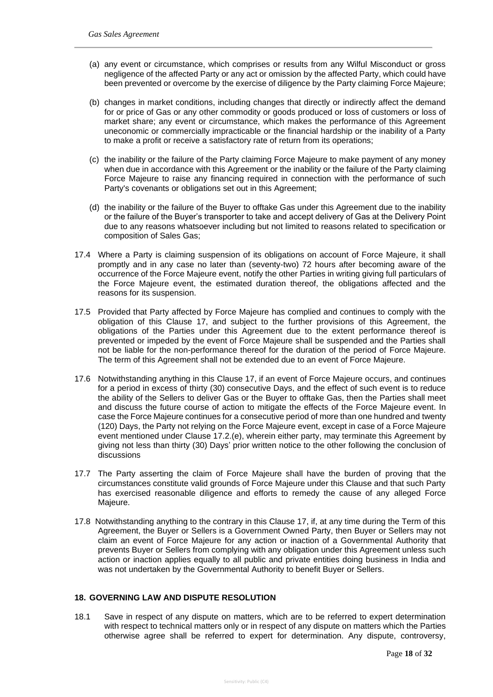- (a) any event or circumstance, which comprises or results from any Wilful Misconduct or gross negligence of the affected Party or any act or omission by the affected Party, which could have been prevented or overcome by the exercise of diligence by the Party claiming Force Majeure;
- (b) changes in market conditions, including changes that directly or indirectly affect the demand for or price of Gas or any other commodity or goods produced or loss of customers or loss of market share; any event or circumstance, which makes the performance of this Agreement uneconomic or commercially impracticable or the financial hardship or the inability of a Party to make a profit or receive a satisfactory rate of return from its operations;
- (c) the inability or the failure of the Party claiming Force Majeure to make payment of any money when due in accordance with this Agreement or the inability or the failure of the Party claiming Force Majeure to raise any financing required in connection with the performance of such Party's covenants or obligations set out in this Agreement;
- (d) the inability or the failure of the Buyer to offtake Gas under this Agreement due to the inability or the failure of the Buyer's transporter to take and accept delivery of Gas at the Delivery Point due to any reasons whatsoever including but not limited to reasons related to specification or composition of Sales Gas;
- 17.4 Where a Party is claiming suspension of its obligations on account of Force Majeure, it shall promptly and in any case no later than (seventy-two) 72 hours after becoming aware of the occurrence of the Force Majeure event, notify the other Parties in writing giving full particulars of the Force Majeure event, the estimated duration thereof, the obligations affected and the reasons for its suspension.
- 17.5 Provided that Party affected by Force Majeure has complied and continues to comply with the obligation of this Clause 17, and subject to the further provisions of this Agreement, the obligations of the Parties under this Agreement due to the extent performance thereof is prevented or impeded by the event of Force Majeure shall be suspended and the Parties shall not be liable for the non-performance thereof for the duration of the period of Force Majeure. The term of this Agreement shall not be extended due to an event of Force Majeure.
- 17.6 Notwithstanding anything in this Clause 17, if an event of Force Majeure occurs, and continues for a period in excess of thirty (30) consecutive Days, and the effect of such event is to reduce the ability of the Sellers to deliver Gas or the Buyer to offtake Gas, then the Parties shall meet and discuss the future course of action to mitigate the effects of the Force Majeure event. In case the Force Majeure continues for a consecutive period of more than one hundred and twenty (120) Days, the Party not relying on the Force Majeure event, except in case of a Force Majeure event mentioned under Clause 17.2.(e), wherein either party, may terminate this Agreement by giving not less than thirty (30) Days' prior written notice to the other following the conclusion of discussions
- 17.7 The Party asserting the claim of Force Majeure shall have the burden of proving that the circumstances constitute valid grounds of Force Majeure under this Clause and that such Party has exercised reasonable diligence and efforts to remedy the cause of any alleged Force Majeure.
- 17.8 Notwithstanding anything to the contrary in this Clause 17, if, at any time during the Term of this Agreement, the Buyer or Sellers is a Government Owned Party, then Buyer or Sellers may not claim an event of Force Majeure for any action or inaction of a Governmental Authority that prevents Buyer or Sellers from complying with any obligation under this Agreement unless such action or inaction applies equally to all public and private entities doing business in India and was not undertaken by the Governmental Authority to benefit Buyer or Sellers.

## **18. GOVERNING LAW AND DISPUTE RESOLUTION**

18.1 Save in respect of any dispute on matters, which are to be referred to expert determination with respect to technical matters only or in respect of any dispute on matters which the Parties otherwise agree shall be referred to expert for determination. Any dispute, controversy,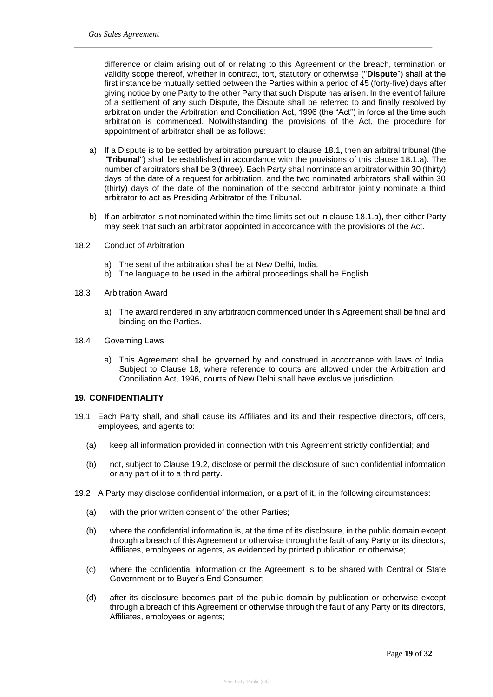difference or claim arising out of or relating to this Agreement or the breach, termination or validity scope thereof, whether in contract, tort, statutory or otherwise ("**Dispute**") shall at the first instance be mutually settled between the Parties within a period of 45 (forty-five) days after giving notice by one Party to the other Party that such Dispute has arisen. In the event of failure of a settlement of any such Dispute, the Dispute shall be referred to and finally resolved by arbitration under the Arbitration and Conciliation Act, 1996 (the "Act") in force at the time such arbitration is commenced. Notwithstanding the provisions of the Act, the procedure for appointment of arbitrator shall be as follows:

- a) If a Dispute is to be settled by arbitration pursuant to clause 18.1, then an arbitral tribunal (the "**Tribunal**") shall be established in accordance with the provisions of this clause 18.1.a). The number of arbitrators shall be 3 (three). Each Party shall nominate an arbitrator within 30 (thirty) days of the date of a request for arbitration, and the two nominated arbitrators shall within 30 (thirty) days of the date of the nomination of the second arbitrator jointly nominate a third arbitrator to act as Presiding Arbitrator of the Tribunal.
- b) If an arbitrator is not nominated within the time limits set out in clause 18.1.a), then either Party may seek that such an arbitrator appointed in accordance with the provisions of the Act.
- 18.2 Conduct of Arbitration
	- a) The seat of the arbitration shall be at New Delhi, India.
	- b) The language to be used in the arbitral proceedings shall be English.
- 18.3 Arbitration Award
	- a) The award rendered in any arbitration commenced under this Agreement shall be final and binding on the Parties.
- 18.4 Governing Laws
	- a) This Agreement shall be governed by and construed in accordance with laws of India. Subject to Clause 18, where reference to courts are allowed under the Arbitration and Conciliation Act, 1996, courts of New Delhi shall have exclusive jurisdiction.

#### **19. CONFIDENTIALITY**

- 19.1 Each Party shall, and shall cause its Affiliates and its and their respective directors, officers, employees, and agents to:
	- (a) keep all information provided in connection with this Agreement strictly confidential; and
	- (b) not, subject to Clause 19.2, disclose or permit the disclosure of such confidential information or any part of it to a third party.
- 19.2 A Party may disclose confidential information, or a part of it, in the following circumstances:
	- (a) with the prior written consent of the other Parties;
	- (b) where the confidential information is, at the time of its disclosure, in the public domain except through a breach of this Agreement or otherwise through the fault of any Party or its directors, Affiliates, employees or agents, as evidenced by printed publication or otherwise;
	- (c) where the confidential information or the Agreement is to be shared with Central or State Government or to Buyer's End Consumer;
	- (d) after its disclosure becomes part of the public domain by publication or otherwise except through a breach of this Agreement or otherwise through the fault of any Party or its directors, Affiliates, employees or agents;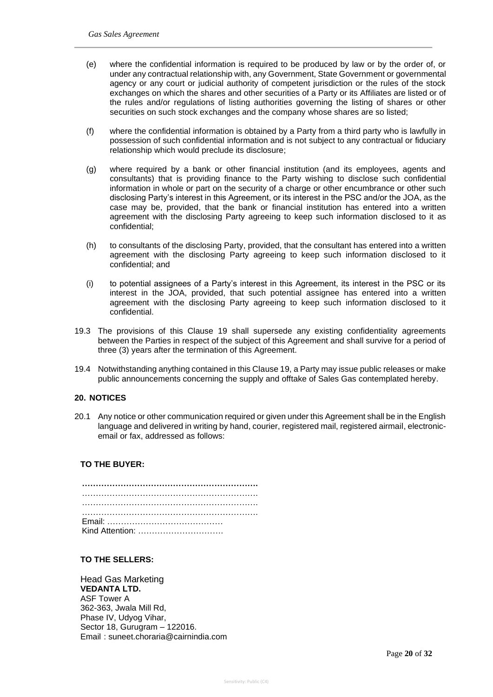- (e) where the confidential information is required to be produced by law or by the order of, or under any contractual relationship with, any Government, State Government or governmental agency or any court or judicial authority of competent jurisdiction or the rules of the stock exchanges on which the shares and other securities of a Party or its Affiliates are listed or of the rules and/or regulations of listing authorities governing the listing of shares or other securities on such stock exchanges and the company whose shares are so listed;
- (f) where the confidential information is obtained by a Party from a third party who is lawfully in possession of such confidential information and is not subject to any contractual or fiduciary relationship which would preclude its disclosure;
- (g) where required by a bank or other financial institution (and its employees, agents and consultants) that is providing finance to the Party wishing to disclose such confidential information in whole or part on the security of a charge or other encumbrance or other such disclosing Party's interest in this Agreement, or its interest in the PSC and/or the JOA, as the case may be, provided, that the bank or financial institution has entered into a written agreement with the disclosing Party agreeing to keep such information disclosed to it as confidential;
- (h) to consultants of the disclosing Party, provided, that the consultant has entered into a written agreement with the disclosing Party agreeing to keep such information disclosed to it confidential; and
- (i) to potential assignees of a Party's interest in this Agreement, its interest in the PSC or its interest in the JOA, provided, that such potential assignee has entered into a written agreement with the disclosing Party agreeing to keep such information disclosed to it confidential.
- 19.3 The provisions of this Clause 19 shall supersede any existing confidentiality agreements between the Parties in respect of the subject of this Agreement and shall survive for a period of three (3) years after the termination of this Agreement.
- 19.4 Notwithstanding anything contained in this Clause 19, a Party may issue public releases or make public announcements concerning the supply and offtake of Sales Gas contemplated hereby.

#### **20. NOTICES**

20.1 Any notice or other communication required or given under this Agreement shall be in the English language and delivered in writing by hand, courier, registered mail, registered airmail, electronicemail or fax, addressed as follows:

## **TO THE BUYER:**

| Kind Attention: |  |
|-----------------|--|

#### **TO THE SELLERS:**

Head Gas Marketing **VEDANTA LTD.** ASF Tower A 362-363, Jwala Mill Rd, Phase IV, Udyog Vihar, Sector 18, Gurugram – 122016. Email : suneet.choraria@cairnindia.com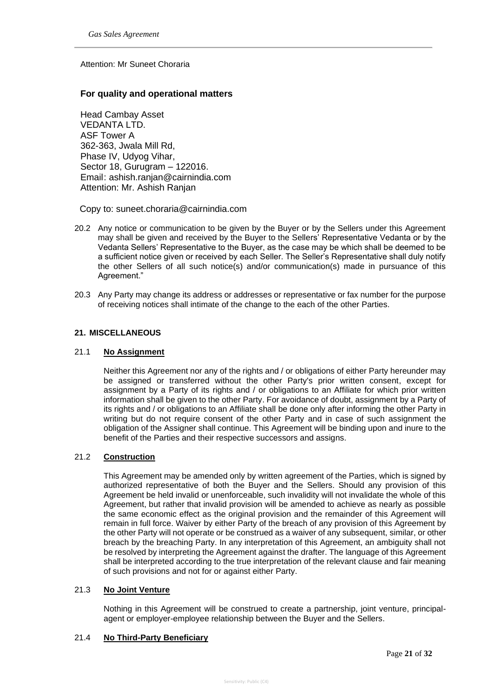Attention: Mr Suneet Choraria

## **For quality and operational matters**

Head Cambay Asset VEDANTA LTD. ASF Tower A 362-363, Jwala Mill Rd, Phase IV, Udyog Vihar, Sector 18, Gurugram – 122016. Email: ashish.ranjan@cairnindia.com Attention: Mr. Ashish Ranjan

Copy to: suneet.choraria@cairnindia.com

- 20.2 Any notice or communication to be given by the Buyer or by the Sellers under this Agreement may shall be given and received by the Buyer to the Sellers' Representative Vedanta or by the Vedanta Sellers' Representative to the Buyer, as the case may be which shall be deemed to be a sufficient notice given or received by each Seller. The Seller's Representative shall duly notify the other Sellers of all such notice(s) and/or communication(s) made in pursuance of this Agreement."
- 20.3 Any Party may change its address or addresses or representative or fax number for the purpose of receiving notices shall intimate of the change to the each of the other Parties.

### **21. MISCELLANEOUS**

#### 21.1 **No Assignment**

Neither this Agreement nor any of the rights and / or obligations of either Party hereunder may be assigned or transferred without the other Party's prior written consent, except for assignment by a Party of its rights and / or obligations to an Affiliate for which prior written information shall be given to the other Party. For avoidance of doubt, assignment by a Party of its rights and / or obligations to an Affiliate shall be done only after informing the other Party in writing but do not require consent of the other Party and in case of such assignment the obligation of the Assigner shall continue. This Agreement will be binding upon and inure to the benefit of the Parties and their respective successors and assigns.

#### 21.2 **Construction**

This Agreement may be amended only by written agreement of the Parties, which is signed by authorized representative of both the Buyer and the Sellers. Should any provision of this Agreement be held invalid or unenforceable, such invalidity will not invalidate the whole of this Agreement, but rather that invalid provision will be amended to achieve as nearly as possible the same economic effect as the original provision and the remainder of this Agreement will remain in full force. Waiver by either Party of the breach of any provision of this Agreement by the other Party will not operate or be construed as a waiver of any subsequent, similar, or other breach by the breaching Party. In any interpretation of this Agreement, an ambiguity shall not be resolved by interpreting the Agreement against the drafter. The language of this Agreement shall be interpreted according to the true interpretation of the relevant clause and fair meaning of such provisions and not for or against either Party.

#### 21.3 **No Joint Venture**

Nothing in this Agreement will be construed to create a partnership, joint venture, principalagent or employer-employee relationship between the Buyer and the Sellers.

## 21.4 **No Third-Party Beneficiary**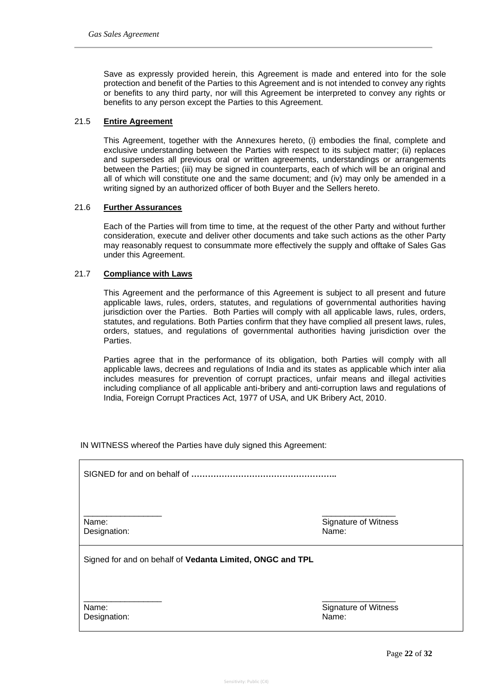Save as expressly provided herein, this Agreement is made and entered into for the sole protection and benefit of the Parties to this Agreement and is not intended to convey any rights or benefits to any third party, nor will this Agreement be interpreted to convey any rights or benefits to any person except the Parties to this Agreement.

## 21.5 **Entire Agreement**

This Agreement, together with the Annexures hereto, (i) embodies the final, complete and exclusive understanding between the Parties with respect to its subject matter; (ii) replaces and supersedes all previous oral or written agreements, understandings or arrangements between the Parties; (iii) may be signed in counterparts, each of which will be an original and all of which will constitute one and the same document; and (iv) may only be amended in a writing signed by an authorized officer of both Buyer and the Sellers hereto.

### 21.6 **Further Assurances**

Each of the Parties will from time to time, at the request of the other Party and without further consideration, execute and deliver other documents and take such actions as the other Party may reasonably request to consummate more effectively the supply and offtake of Sales Gas under this Agreement.

### 21.7 **Compliance with Laws**

This Agreement and the performance of this Agreement is subject to all present and future applicable laws, rules, orders, statutes, and regulations of governmental authorities having jurisdiction over the Parties. Both Parties will comply with all applicable laws, rules, orders, statutes, and regulations. Both Parties confirm that they have complied all present laws, rules, orders, statues, and regulations of governmental authorities having jurisdiction over the Parties.

Parties agree that in the performance of its obligation, both Parties will comply with all applicable laws, decrees and regulations of India and its states as applicable which inter alia includes measures for prevention of corrupt practices, unfair means and illegal activities including compliance of all applicable anti-bribery and anti-corruption laws and regulations of India, Foreign Corrupt Practices Act, 1977 of USA, and UK Bribery Act, 2010.

IN WITNESS whereof the Parties have duly signed this Agreement:

SIGNED for and on behalf of **……………………………………………..**

\_\_\_\_\_\_\_\_\_\_\_\_\_\_\_\_\_ \_\_\_\_\_\_\_\_\_\_\_\_\_\_\_\_

\_\_\_\_\_\_\_\_\_\_\_\_\_\_\_\_\_ \_\_\_\_\_\_\_\_\_\_\_\_\_\_\_\_

Designation: Name: Name: Name: Name: Name: Name: Name: Name: Name: Name: Name: Name: Name: Name: Name: Name: Name: Name: Name: Name: Name: Name: Name: Name: Name: Name: Name: Name: Name: Name: Name: Name: Name: Name: Name:

Name: Signature of Witness

Signed for and on behalf of **Vedanta Limited, ONGC and TPL**

Designation: Name: Name: Name: Name: Name: Name: Name: Name: Name: Name: Name: Name: Name: Name: Name: Name: Name: Name: Name: Name: Name: Name: Name: Name: Name: Name: Name: Name: Name: Name: Name: Name: Name: Name: Name:

Name: Signature of Witness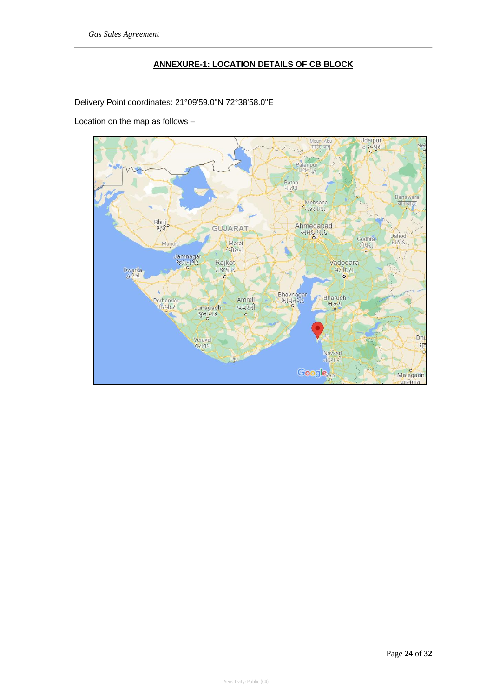## **ANNEXURE-1: LOCATION DETAILS OF CB BLOCK**

Delivery Point coordinates: 21°09'59.0"N 72°38'58.0"E

Location on the map as follows –

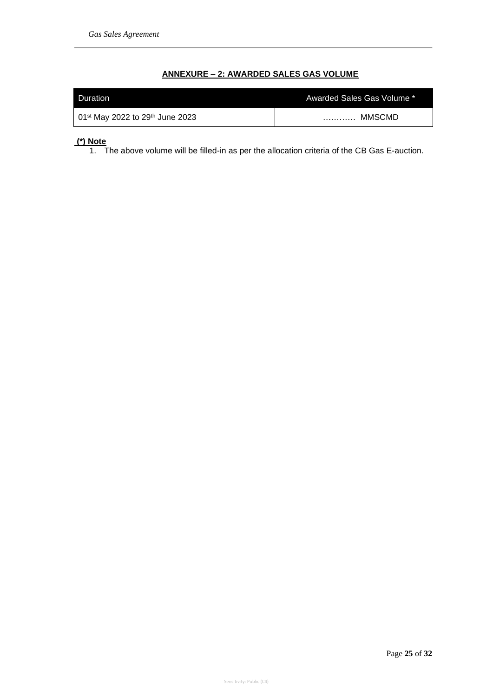## **ANNEXURE – 2: AWARDED SALES GAS VOLUME**

| Duration                        | Awarded Sales Gas Volume * |
|---------------------------------|----------------------------|
| 01st May 2022 to 29th June 2023 | MMSCMD<br>.                |

# **(\*) Note**

1. The above volume will be filled-in as per the allocation criteria of the CB Gas E-auction.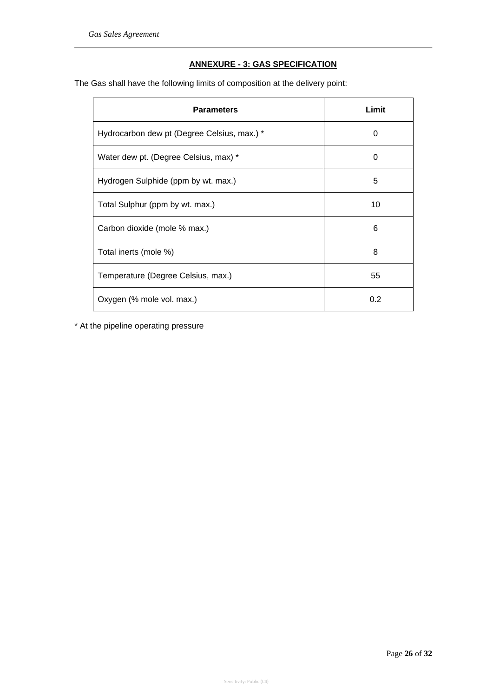## **ANNEXURE - 3: GAS SPECIFICATION**

The Gas shall have the following limits of composition at the delivery point:

| <b>Parameters</b>                           | Limit |
|---------------------------------------------|-------|
| Hydrocarbon dew pt (Degree Celsius, max.) * | 0     |
| Water dew pt. (Degree Celsius, max) *       | 0     |
| Hydrogen Sulphide (ppm by wt. max.)         | 5     |
| Total Sulphur (ppm by wt. max.)             | 10    |
| Carbon dioxide (mole % max.)                | 6     |
| Total inerts (mole %)                       | 8     |
| Temperature (Degree Celsius, max.)          | 55    |
| Oxygen (% mole vol. max.)                   | 0.2   |

\* At the pipeline operating pressure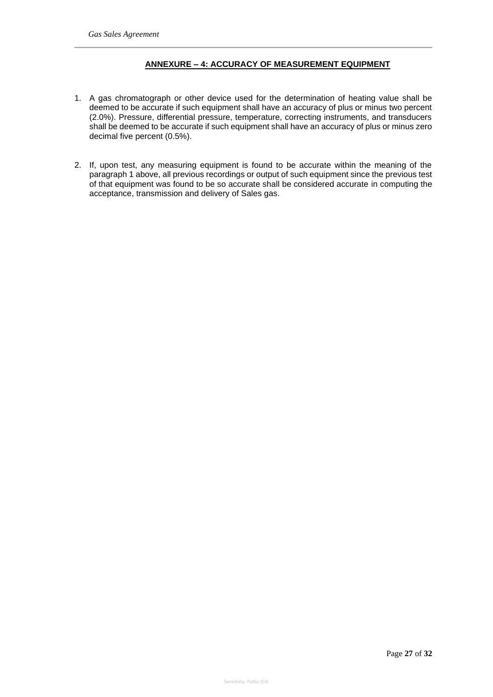## **ANNEXURE – 4: ACCURACY OF MEASUREMENT EQUIPMENT**

- 1. A gas chromatograph or other device used for the determination of heating value shall be deemed to be accurate if such equipment shall have an accuracy of plus or minus two percent (2.0%). Pressure, differential pressure, temperature, correcting instruments, and transducers shall be deemed to be accurate if such equipment shall have an accuracy of plus or minus zero decimal five percent (0.5%).
- 2. If, upon test, any measuring equipment is found to be accurate within the meaning of the paragraph 1 above, all previous recordings or output of such equipment since the previous test of that equipment was found to be so accurate shall be considered accurate in computing the acceptance, transmission and delivery of Sales gas.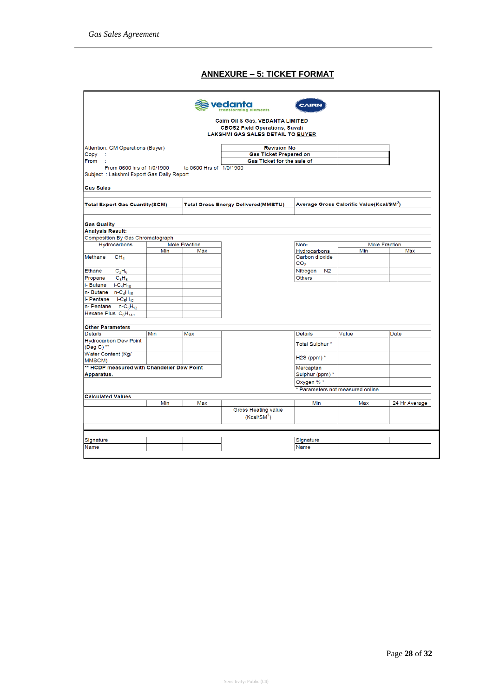## **ANNEXURE – 5: TICKET FORMAT**

|                                                 |                    |                         | vedanta                                     | <b>AIRE</b>                           |                                                      |               |  |
|-------------------------------------------------|--------------------|-------------------------|---------------------------------------------|---------------------------------------|------------------------------------------------------|---------------|--|
|                                                 |                    |                         |                                             |                                       |                                                      |               |  |
|                                                 |                    |                         | Cairn Oil & Gas, VEDANTA LIMITED            |                                       |                                                      |               |  |
|                                                 |                    |                         | <b>CBOS2 Field Operations, Suvali</b>       |                                       |                                                      |               |  |
|                                                 |                    |                         | LAKSHMI GAS SALES DETAIL TO BUYER           |                                       |                                                      |               |  |
| Attention: GM Operations (Buyer)                | <b>Revision No</b> |                         |                                             |                                       |                                                      |               |  |
| Copy                                            |                    |                         | <b>Gas Ticket Prepared on</b>               |                                       |                                                      |               |  |
| From<br>- 1                                     |                    |                         | Gas Ticket for the sale of                  |                                       |                                                      |               |  |
| From 0600 hrs of 1/0/1900                       |                    | to 0600 Hrs of 1/0/1900 |                                             |                                       |                                                      |               |  |
| Subject: Lakshmi Export Gas Daily Report        |                    |                         |                                             |                                       |                                                      |               |  |
| <b>Gas Sales</b>                                |                    |                         |                                             |                                       |                                                      |               |  |
|                                                 |                    |                         |                                             |                                       |                                                      |               |  |
| <b>Total Export Gas Quantity(SCM)</b>           |                    |                         | <b>Total Gross Energy Delivered (MMBTU)</b> |                                       | Average Gross Calorific Value(Kcal/SM <sup>3</sup> ) |               |  |
|                                                 |                    |                         |                                             |                                       |                                                      |               |  |
| <b>Gas Quality</b>                              |                    |                         |                                             |                                       |                                                      |               |  |
| <b>Analysis Result:</b>                         |                    |                         |                                             |                                       |                                                      |               |  |
| Composition By Gas Chromatograph                |                    |                         |                                             |                                       |                                                      |               |  |
| Hydrocarbons                                    |                    | <b>Mole Fraction</b>    |                                             | Non-                                  | <b>Mole Fraction</b>                                 |               |  |
| Methane                                         | Min                | Max                     |                                             | <b>Hydrocarbons</b><br>Carbon dioxide | Min                                                  | Max           |  |
| CH <sub>4</sub>                                 |                    |                         |                                             | CO <sub>2</sub>                       |                                                      |               |  |
| <b>Ethane</b><br>$C_2H_6$                       |                    |                         |                                             | Nitrogen<br>N <sub>2</sub>            |                                                      |               |  |
| Propane<br>$C_3H_8$                             |                    |                         |                                             | <b>Others</b>                         |                                                      |               |  |
| i-Butane<br>$i$ -C <sub>4</sub> H <sub>10</sub> |                    |                         |                                             |                                       |                                                      |               |  |
| $n - But$ ane $n - C4H10$                       |                    |                         |                                             |                                       |                                                      |               |  |
| i- Pentane i-C <sub>5</sub> H <sub>12</sub>     |                    |                         |                                             |                                       |                                                      |               |  |
| $n-$ Pentane $n-C_5H_{12}$                      |                    |                         |                                             |                                       |                                                      |               |  |
| Hexane Plus C <sub>6</sub> H <sub>14+</sub>     |                    |                         |                                             |                                       |                                                      |               |  |
|                                                 |                    |                         |                                             |                                       |                                                      |               |  |
| <b>Other Parameters</b>                         |                    |                         |                                             |                                       |                                                      |               |  |
| <b>Details</b>                                  | Min                | Max                     |                                             | <b>Details</b>                        | Value                                                | Date          |  |
| <b>Hydrocarbon Dew Point</b><br>(Deg C) **      |                    |                         |                                             | Total Sulphur *                       |                                                      |               |  |
| Water Content (Kg/<br>MMSCM)                    |                    |                         |                                             | H2S (ppm) $*$                         |                                                      |               |  |
| ** HCDP measured with Chandelier Dew Point      |                    |                         |                                             | Mercaptan                             |                                                      |               |  |
| Apparatus.                                      |                    |                         |                                             | Sulphur (ppm) *                       |                                                      |               |  |
|                                                 |                    |                         |                                             | Oxygen % *                            |                                                      |               |  |
|                                                 |                    |                         |                                             |                                       | * Parameters not measured online                     |               |  |
| <b>Calculated Values</b>                        |                    |                         |                                             |                                       |                                                      |               |  |
|                                                 | Min                | Max                     |                                             | Min                                   | Max                                                  | 24 Hr Average |  |
|                                                 |                    |                         | <b>Gross Heating value</b>                  |                                       |                                                      |               |  |
|                                                 |                    |                         | (Kcal/SM <sup>3</sup> )                     |                                       |                                                      |               |  |
|                                                 |                    |                         |                                             |                                       |                                                      |               |  |
|                                                 |                    |                         |                                             |                                       |                                                      |               |  |
| Signature                                       |                    |                         |                                             | Signature                             |                                                      |               |  |
| Name                                            |                    |                         |                                             | Name                                  |                                                      |               |  |
|                                                 |                    |                         |                                             |                                       |                                                      |               |  |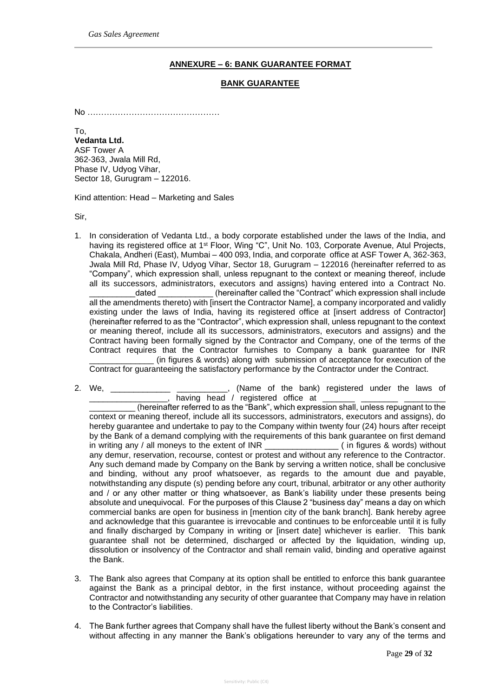## **ANNEXURE – 6: BANK GUARANTEE FORMAT**

#### **BANK GUARANTEE**

No …………………………………………

To, **Vedanta Ltd.** ASF Tower A 362-363, Jwala Mill Rd, Phase IV, Udyog Vihar, Sector 18, Gurugram – 122016.

Kind attention: Head – Marketing and Sales

Sir,

1. In consideration of Vedanta Ltd., a body corporate established under the laws of the India, and having its registered office at 1<sup>st</sup> Floor, Wing "C", Unit No. 103, Corporate Avenue, Atul Projects, Chakala, Andheri (East), Mumbai – 400 093, India, and corporate office at ASF Tower A, 362-363, Jwala Mill Rd, Phase IV, Udyog Vihar, Sector 18, Gurugram – 122016 (hereinafter referred to as "Company", which expression shall, unless repugnant to the context or meaning thereof, include all its successors, administrators, executors and assigns) having entered into a Contract No. \_dated \_\_\_\_\_\_\_\_\_\_\_\_\_(hereinafter called the "Contract" which expression shall include all the amendments thereto) with [insert the Contractor Name], a company incorporated and validly existing under the laws of India, having its registered office at [insert address of Contractor] (hereinafter referred to as the "Contractor", which expression shall, unless repugnant to the context or meaning thereof, include all its successors, administrators, executors and assigns) and the Contract having been formally signed by the Contractor and Company, one of the terms of the Contract requires that the Contractor furnishes to Company a bank guarantee for INR (in figures & words) along with submission of acceptance for execution of the

Contract for guaranteeing the satisfactory performance by the Contractor under the Contract.

2. We, \_\_\_\_\_\_\_\_\_\_\_\_\_\_\_\_\_\_\_\_\_\_\_\_\_\_\_\_\_\_\_, (Name of the bank) registered under the laws of  $\overline{\phantom{a}}$ , having head / registered office at  $\overline{\phantom{a}}$ 

(hereinafter referred to as the "Bank", which expression shall, unless repugnant to the context or meaning thereof, include all its successors, administrators, executors and assigns), do hereby guarantee and undertake to pay to the Company within twenty four (24) hours after receipt by the Bank of a demand complying with the requirements of this bank guarantee on first demand in writing any / all moneys to the extent of INR \_\_\_\_\_\_\_\_\_\_\_\_\_\_\_\_ ( in figures & words) without any demur, reservation, recourse, contest or protest and without any reference to the Contractor. Any such demand made by Company on the Bank by serving a written notice, shall be conclusive and binding, without any proof whatsoever, as regards to the amount due and payable, notwithstanding any dispute (s) pending before any court, tribunal, arbitrator or any other authority and / or any other matter or thing whatsoever, as Bank's liability under these presents being absolute and unequivocal. For the purposes of this Clause 2 "business day" means a day on which commercial banks are open for business in [mention city of the bank branch]. Bank hereby agree and acknowledge that this guarantee is irrevocable and continues to be enforceable until it is fully and finally discharged by Company in writing or [insert date] whichever is earlier. This bank guarantee shall not be determined, discharged or affected by the liquidation, winding up, dissolution or insolvency of the Contractor and shall remain valid, binding and operative against the Bank.

- 3. The Bank also agrees that Company at its option shall be entitled to enforce this bank guarantee against the Bank as a principal debtor, in the first instance, without proceeding against the Contractor and notwithstanding any security of other guarantee that Company may have in relation to the Contractor's liabilities.
- 4. The Bank further agrees that Company shall have the fullest liberty without the Bank's consent and without affecting in any manner the Bank's obligations hereunder to vary any of the terms and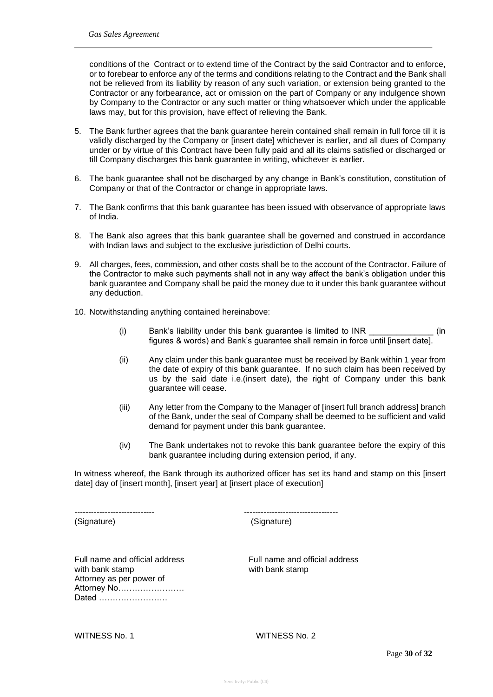conditions of the Contract or to extend time of the Contract by the said Contractor and to enforce, or to forebear to enforce any of the terms and conditions relating to the Contract and the Bank shall not be relieved from its liability by reason of any such variation, or extension being granted to the Contractor or any forbearance, act or omission on the part of Company or any indulgence shown by Company to the Contractor or any such matter or thing whatsoever which under the applicable laws may, but for this provision, have effect of relieving the Bank.

- 5. The Bank further agrees that the bank guarantee herein contained shall remain in full force till it is validly discharged by the Company or [insert date] whichever is earlier, and all dues of Company under or by virtue of this Contract have been fully paid and all its claims satisfied or discharged or till Company discharges this bank guarantee in writing, whichever is earlier.
- 6. The bank guarantee shall not be discharged by any change in Bank's constitution, constitution of Company or that of the Contractor or change in appropriate laws.
- 7. The Bank confirms that this bank guarantee has been issued with observance of appropriate laws of India.
- 8. The Bank also agrees that this bank guarantee shall be governed and construed in accordance with Indian laws and subject to the exclusive jurisdiction of Delhi courts.
- 9. All charges, fees, commission, and other costs shall be to the account of the Contractor. Failure of the Contractor to make such payments shall not in any way affect the bank's obligation under this bank guarantee and Company shall be paid the money due to it under this bank guarantee without any deduction.
- 10. Notwithstanding anything contained hereinabove:
	- (i) Bank's liability under this bank guarantee is limited to INR (in figures & words) and Bank's guarantee shall remain in force until [insert date].
	- (ii) Any claim under this bank guarantee must be received by Bank within 1 year from the date of expiry of this bank guarantee. If no such claim has been received by us by the said date i.e.(insert date), the right of Company under this bank guarantee will cease.
	- (iii) Any letter from the Company to the Manager of [insert full branch address] branch of the Bank, under the seal of Company shall be deemed to be sufficient and valid demand for payment under this bank guarantee.
	- (iv) The Bank undertakes not to revoke this bank guarantee before the expiry of this bank guarantee including during extension period, if any.

In witness whereof, the Bank through its authorized officer has set its hand and stamp on this [insert date] day of [insert month], [insert year] at [insert place of execution]

(Signature) (Signature)

----------------------------- ----------------------------------

Full name and official address Full name and official address with bank stamp with bank stamp Attorney as per power of Attorney No…………………… Dated …………………….

WITNESS No. 1 WITNESS No. 2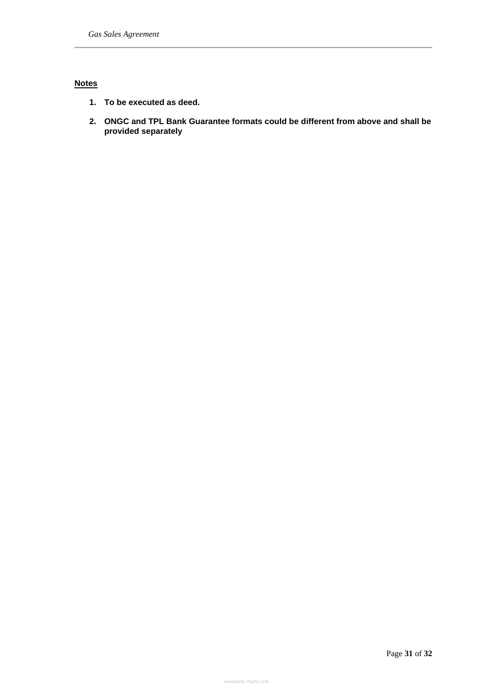## **Notes**

- **1. To be executed as deed.**
- **2. ONGC and TPL Bank Guarantee formats could be different from above and shall be provided separately**